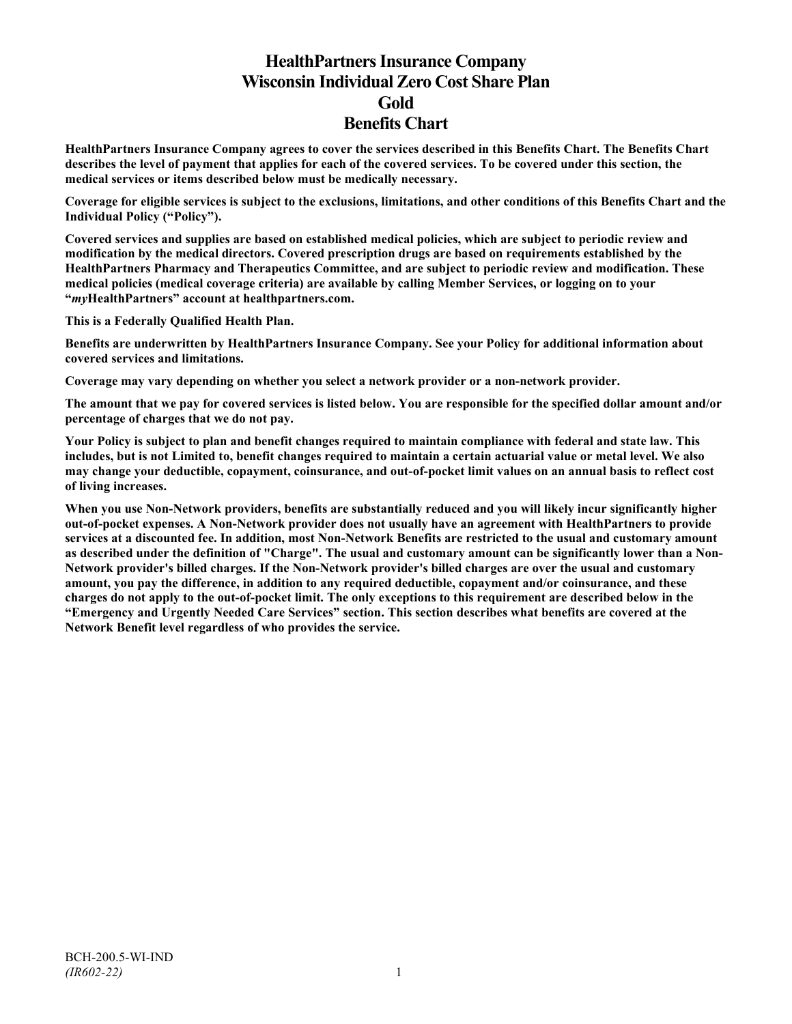# **HealthPartners Insurance Company Wisconsin Individual Zero Cost Share Plan Gold Benefits Chart**

**HealthPartners Insurance Company agrees to cover the services described in this Benefits Chart. The Benefits Chart describes the level of payment that applies for each of the covered services. To be covered under this section, the medical services or items described below must be medically necessary.**

**Coverage for eligible services is subject to the exclusions, limitations, and other conditions of this Benefits Chart and the Individual Policy ("Policy").**

**Covered services and supplies are based on established medical policies, which are subject to periodic review and modification by the medical directors. Covered prescription drugs are based on requirements established by the HealthPartners Pharmacy and Therapeutics Committee, and are subject to periodic review and modification. These medical policies (medical coverage criteria) are available by calling Member Services, or logging on to your "***my***HealthPartners" account at [healthpartners.com.](http://www.healthpartners.com/)**

**This is a Federally Qualified Health Plan.**

**Benefits are underwritten by HealthPartners Insurance Company. See your Policy for additional information about covered services and limitations.**

**Coverage may vary depending on whether you select a network provider or a non-network provider.**

**The amount that we pay for covered services is listed below. You are responsible for the specified dollar amount and/or percentage of charges that we do not pay.**

**Your Policy is subject to plan and benefit changes required to maintain compliance with federal and state law. This includes, but is not Limited to, benefit changes required to maintain a certain actuarial value or metal level. We also may change your deductible, copayment, coinsurance, and out-of-pocket limit values on an annual basis to reflect cost of living increases.**

**When you use Non-Network providers, benefits are substantially reduced and you will likely incur significantly higher out-of-pocket expenses. A Non-Network provider does not usually have an agreement with HealthPartners to provide services at a discounted fee. In addition, most Non-Network Benefits are restricted to the usual and customary amount as described under the definition of "Charge". The usual and customary amount can be significantly lower than a Non-Network provider's billed charges. If the Non-Network provider's billed charges are over the usual and customary amount, you pay the difference, in addition to any required deductible, copayment and/or coinsurance, and these charges do not apply to the out-of-pocket limit. The only exceptions to this requirement are described below in the "Emergency and Urgently Needed Care Services" section. This section describes what benefits are covered at the Network Benefit level regardless of who provides the service.**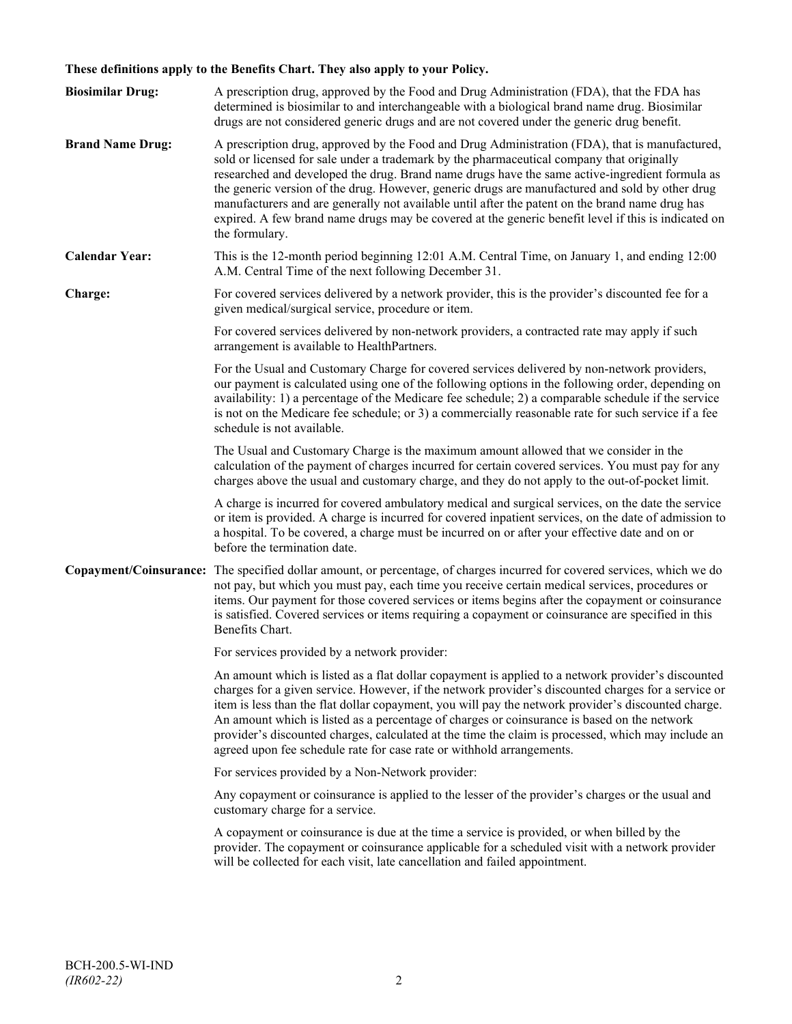# **These definitions apply to the Benefits Chart. They also apply to your Policy.**

| <b>Biosimilar Drug:</b> | A prescription drug, approved by the Food and Drug Administration (FDA), that the FDA has<br>determined is biosimilar to and interchangeable with a biological brand name drug. Biosimilar<br>drugs are not considered generic drugs and are not covered under the generic drug benefit.                                                                                                                                                                                                                                                                                                                                     |
|-------------------------|------------------------------------------------------------------------------------------------------------------------------------------------------------------------------------------------------------------------------------------------------------------------------------------------------------------------------------------------------------------------------------------------------------------------------------------------------------------------------------------------------------------------------------------------------------------------------------------------------------------------------|
| <b>Brand Name Drug:</b> | A prescription drug, approved by the Food and Drug Administration (FDA), that is manufactured,<br>sold or licensed for sale under a trademark by the pharmaceutical company that originally<br>researched and developed the drug. Brand name drugs have the same active-ingredient formula as<br>the generic version of the drug. However, generic drugs are manufactured and sold by other drug<br>manufacturers and are generally not available until after the patent on the brand name drug has<br>expired. A few brand name drugs may be covered at the generic benefit level if this is indicated on<br>the formulary. |
| <b>Calendar Year:</b>   | This is the 12-month period beginning 12:01 A.M. Central Time, on January 1, and ending 12:00<br>A.M. Central Time of the next following December 31.                                                                                                                                                                                                                                                                                                                                                                                                                                                                        |
| Charge:                 | For covered services delivered by a network provider, this is the provider's discounted fee for a<br>given medical/surgical service, procedure or item.                                                                                                                                                                                                                                                                                                                                                                                                                                                                      |
|                         | For covered services delivered by non-network providers, a contracted rate may apply if such<br>arrangement is available to HealthPartners.                                                                                                                                                                                                                                                                                                                                                                                                                                                                                  |
|                         | For the Usual and Customary Charge for covered services delivered by non-network providers,<br>our payment is calculated using one of the following options in the following order, depending on<br>availability: 1) a percentage of the Medicare fee schedule; 2) a comparable schedule if the service<br>is not on the Medicare fee schedule; or 3) a commercially reasonable rate for such service if a fee<br>schedule is not available.                                                                                                                                                                                 |
|                         | The Usual and Customary Charge is the maximum amount allowed that we consider in the<br>calculation of the payment of charges incurred for certain covered services. You must pay for any<br>charges above the usual and customary charge, and they do not apply to the out-of-pocket limit.                                                                                                                                                                                                                                                                                                                                 |
|                         | A charge is incurred for covered ambulatory medical and surgical services, on the date the service<br>or item is provided. A charge is incurred for covered inpatient services, on the date of admission to<br>a hospital. To be covered, a charge must be incurred on or after your effective date and on or<br>before the termination date.                                                                                                                                                                                                                                                                                |
|                         | Copayment/Coinsurance: The specified dollar amount, or percentage, of charges incurred for covered services, which we do<br>not pay, but which you must pay, each time you receive certain medical services, procedures or<br>items. Our payment for those covered services or items begins after the copayment or coinsurance<br>is satisfied. Covered services or items requiring a copayment or coinsurance are specified in this<br>Benefits Chart.                                                                                                                                                                      |
|                         | For services provided by a network provider:                                                                                                                                                                                                                                                                                                                                                                                                                                                                                                                                                                                 |
|                         | An amount which is listed as a flat dollar copayment is applied to a network provider's discounted<br>charges for a given service. However, if the network provider's discounted charges for a service or<br>item is less than the flat dollar copayment, you will pay the network provider's discounted charge.<br>An amount which is listed as a percentage of charges or coinsurance is based on the network<br>provider's discounted charges, calculated at the time the claim is processed, which may include an<br>agreed upon fee schedule rate for case rate or withhold arrangements.                               |
|                         | For services provided by a Non-Network provider:                                                                                                                                                                                                                                                                                                                                                                                                                                                                                                                                                                             |
|                         | Any copayment or coinsurance is applied to the lesser of the provider's charges or the usual and<br>customary charge for a service.                                                                                                                                                                                                                                                                                                                                                                                                                                                                                          |
|                         | A copayment or coinsurance is due at the time a service is provided, or when billed by the<br>provider. The copayment or coinsurance applicable for a scheduled visit with a network provider<br>will be collected for each visit, late cancellation and failed appointment.                                                                                                                                                                                                                                                                                                                                                 |
|                         |                                                                                                                                                                                                                                                                                                                                                                                                                                                                                                                                                                                                                              |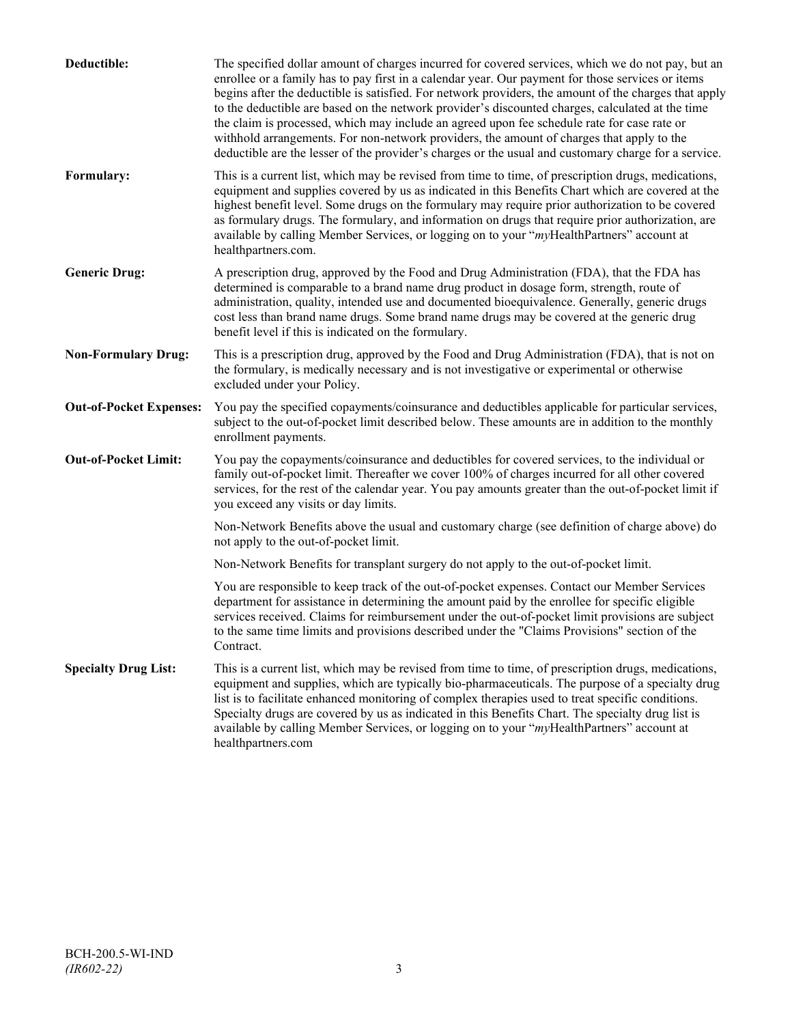| Deductible:                    | The specified dollar amount of charges incurred for covered services, which we do not pay, but an<br>enrollee or a family has to pay first in a calendar year. Our payment for those services or items<br>begins after the deductible is satisfied. For network providers, the amount of the charges that apply<br>to the deductible are based on the network provider's discounted charges, calculated at the time<br>the claim is processed, which may include an agreed upon fee schedule rate for case rate or<br>withhold arrangements. For non-network providers, the amount of charges that apply to the<br>deductible are the lesser of the provider's charges or the usual and customary charge for a service. |
|--------------------------------|-------------------------------------------------------------------------------------------------------------------------------------------------------------------------------------------------------------------------------------------------------------------------------------------------------------------------------------------------------------------------------------------------------------------------------------------------------------------------------------------------------------------------------------------------------------------------------------------------------------------------------------------------------------------------------------------------------------------------|
| Formulary:                     | This is a current list, which may be revised from time to time, of prescription drugs, medications,<br>equipment and supplies covered by us as indicated in this Benefits Chart which are covered at the<br>highest benefit level. Some drugs on the formulary may require prior authorization to be covered<br>as formulary drugs. The formulary, and information on drugs that require prior authorization, are<br>available by calling Member Services, or logging on to your "myHealthPartners" account at<br>healthpartners.com.                                                                                                                                                                                   |
| <b>Generic Drug:</b>           | A prescription drug, approved by the Food and Drug Administration (FDA), that the FDA has<br>determined is comparable to a brand name drug product in dosage form, strength, route of<br>administration, quality, intended use and documented bioequivalence. Generally, generic drugs<br>cost less than brand name drugs. Some brand name drugs may be covered at the generic drug<br>benefit level if this is indicated on the formulary.                                                                                                                                                                                                                                                                             |
| <b>Non-Formulary Drug:</b>     | This is a prescription drug, approved by the Food and Drug Administration (FDA), that is not on<br>the formulary, is medically necessary and is not investigative or experimental or otherwise<br>excluded under your Policy.                                                                                                                                                                                                                                                                                                                                                                                                                                                                                           |
| <b>Out-of-Pocket Expenses:</b> | You pay the specified copayments/coinsurance and deductibles applicable for particular services,<br>subject to the out-of-pocket limit described below. These amounts are in addition to the monthly<br>enrollment payments.                                                                                                                                                                                                                                                                                                                                                                                                                                                                                            |
| <b>Out-of-Pocket Limit:</b>    | You pay the copayments/coinsurance and deductibles for covered services, to the individual or<br>family out-of-pocket limit. Thereafter we cover 100% of charges incurred for all other covered<br>services, for the rest of the calendar year. You pay amounts greater than the out-of-pocket limit if<br>you exceed any visits or day limits.                                                                                                                                                                                                                                                                                                                                                                         |
|                                | Non-Network Benefits above the usual and customary charge (see definition of charge above) do<br>not apply to the out-of-pocket limit.                                                                                                                                                                                                                                                                                                                                                                                                                                                                                                                                                                                  |
|                                | Non-Network Benefits for transplant surgery do not apply to the out-of-pocket limit.                                                                                                                                                                                                                                                                                                                                                                                                                                                                                                                                                                                                                                    |
|                                | You are responsible to keep track of the out-of-pocket expenses. Contact our Member Services<br>department for assistance in determining the amount paid by the enrollee for specific eligible<br>services received. Claims for reimbursement under the out-of-pocket limit provisions are subject<br>to the same time limits and provisions described under the "Claims Provisions" section of the<br>Contract.                                                                                                                                                                                                                                                                                                        |
| <b>Specialty Drug List:</b>    | This is a current list, which may be revised from time to time, of prescription drugs, medications,<br>equipment and supplies, which are typically bio-pharmaceuticals. The purpose of a specialty drug<br>list is to facilitate enhanced monitoring of complex therapies used to treat specific conditions.<br>Specialty drugs are covered by us as indicated in this Benefits Chart. The specialty drug list is<br>available by calling Member Services, or logging on to your "myHealthPartners" account at<br>healthpartners.com                                                                                                                                                                                    |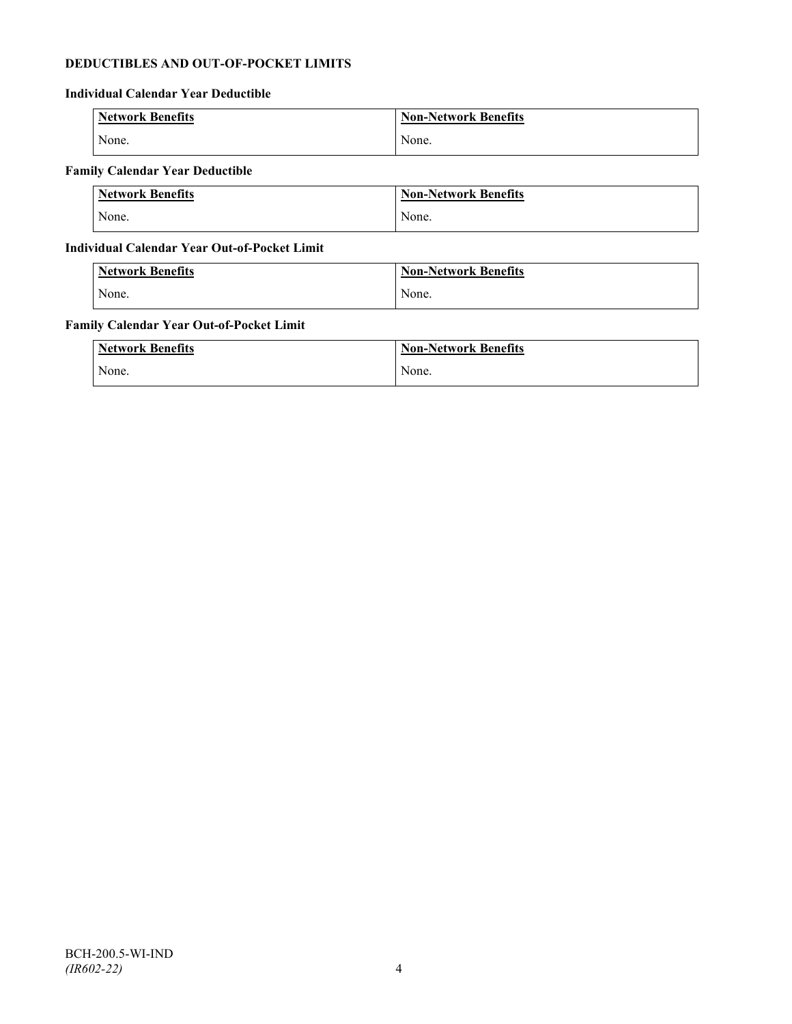# **DEDUCTIBLES AND OUT-OF-POCKET LIMITS**

# **Individual Calendar Year Deductible**

| <b>Network Benefits</b> | <b>Non-Network Benefits</b> |
|-------------------------|-----------------------------|
| None.                   | None.                       |

# **Family Calendar Year Deductible**

| <b>Network Benefits</b> | <b>Non-Network Benefits</b> |
|-------------------------|-----------------------------|
| None.                   | None.                       |

# **Individual Calendar Year Out-of-Pocket Limit**

| <b>Network Benefits</b> | <b>Non-Network Benefits</b> |
|-------------------------|-----------------------------|
| None.                   | None.                       |

### **Family Calendar Year Out-of-Pocket Limit**

| <b>Network Benefits</b> | <b>Non-Network Benefits</b> |
|-------------------------|-----------------------------|
| None.                   | None.                       |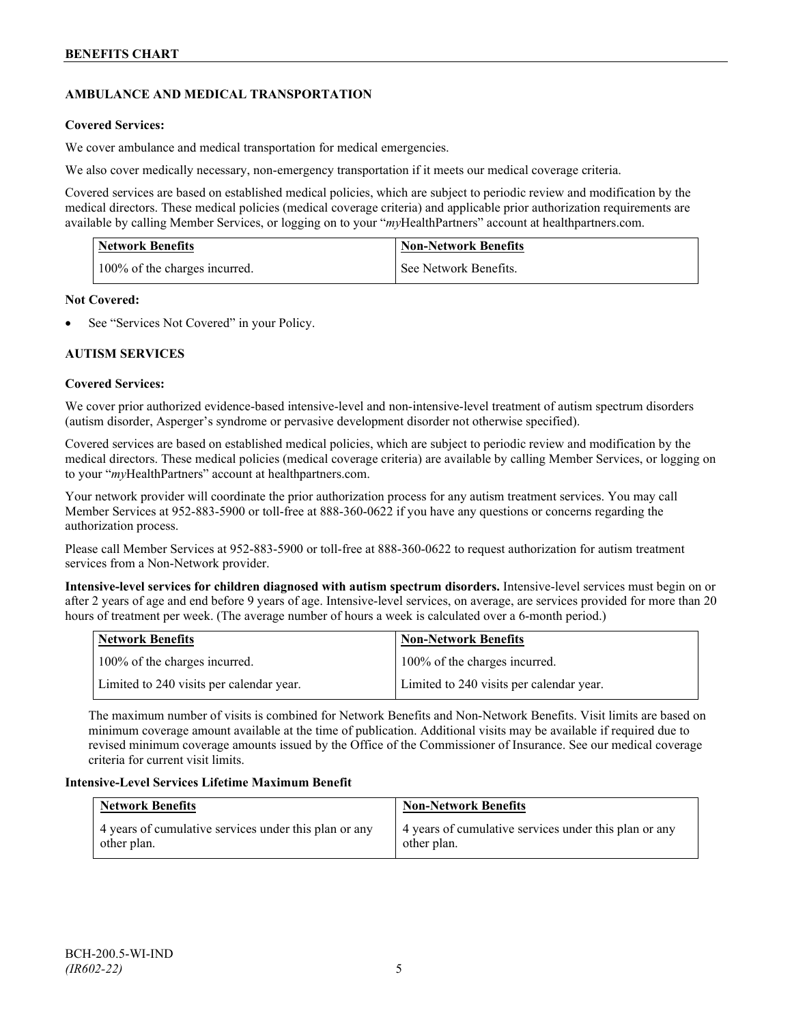# **AMBULANCE AND MEDICAL TRANSPORTATION**

# **Covered Services:**

We cover ambulance and medical transportation for medical emergencies.

We also cover medically necessary, non-emergency transportation if it meets our medical coverage criteria.

Covered services are based on established medical policies, which are subject to periodic review and modification by the medical directors. These medical policies (medical coverage criteria) and applicable prior authorization requirements are available by calling Member Services, or logging on to your "*my*HealthPartners" account a[t healthpartners.com.](http://www.healthpartners.com/)

| <b>Network Benefits</b>       | <b>Non-Network Benefits</b> |
|-------------------------------|-----------------------------|
| 100% of the charges incurred. | See Network Benefits.       |

# **Not Covered:**

See "Services Not Covered" in your Policy.

# **AUTISM SERVICES**

# **Covered Services:**

We cover prior authorized evidence-based intensive-level and non-intensive-level treatment of autism spectrum disorders (autism disorder, Asperger's syndrome or pervasive development disorder not otherwise specified).

Covered services are based on established medical policies, which are subject to periodic review and modification by the medical directors. These medical policies (medical coverage criteria) are available by calling Member Services, or logging on to your "*my*HealthPartners" account at [healthpartners.com.](http://www.healthpartners.com/)

Your network provider will coordinate the prior authorization process for any autism treatment services. You may call Member Services at 952-883-5900 or toll-free at 888-360-0622 if you have any questions or concerns regarding the authorization process.

Please call Member Services at 952-883-5900 or toll-free at 888-360-0622 to request authorization for autism treatment services from a Non-Network provider.

**Intensive-level services for children diagnosed with autism spectrum disorders.** Intensive-level services must begin on or after 2 years of age and end before 9 years of age. Intensive-level services, on average, are services provided for more than 20 hours of treatment per week. (The average number of hours a week is calculated over a 6-month period.)

| Network Benefits                         | <b>Non-Network Benefits</b>              |
|------------------------------------------|------------------------------------------|
| 100% of the charges incurred.            | 100% of the charges incurred.            |
| Limited to 240 visits per calendar year. | Limited to 240 visits per calendar year. |

The maximum number of visits is combined for Network Benefits and Non-Network Benefits. Visit limits are based on minimum coverage amount available at the time of publication. Additional visits may be available if required due to revised minimum coverage amounts issued by the Office of the Commissioner of Insurance. See our medical coverage criteria for current visit limits.

# **Intensive-Level Services Lifetime Maximum Benefit**

| <b>Network Benefits</b>                               | <b>Non-Network Benefits</b>                           |
|-------------------------------------------------------|-------------------------------------------------------|
| 4 years of cumulative services under this plan or any | 4 years of cumulative services under this plan or any |
| other plan.                                           | other plan.                                           |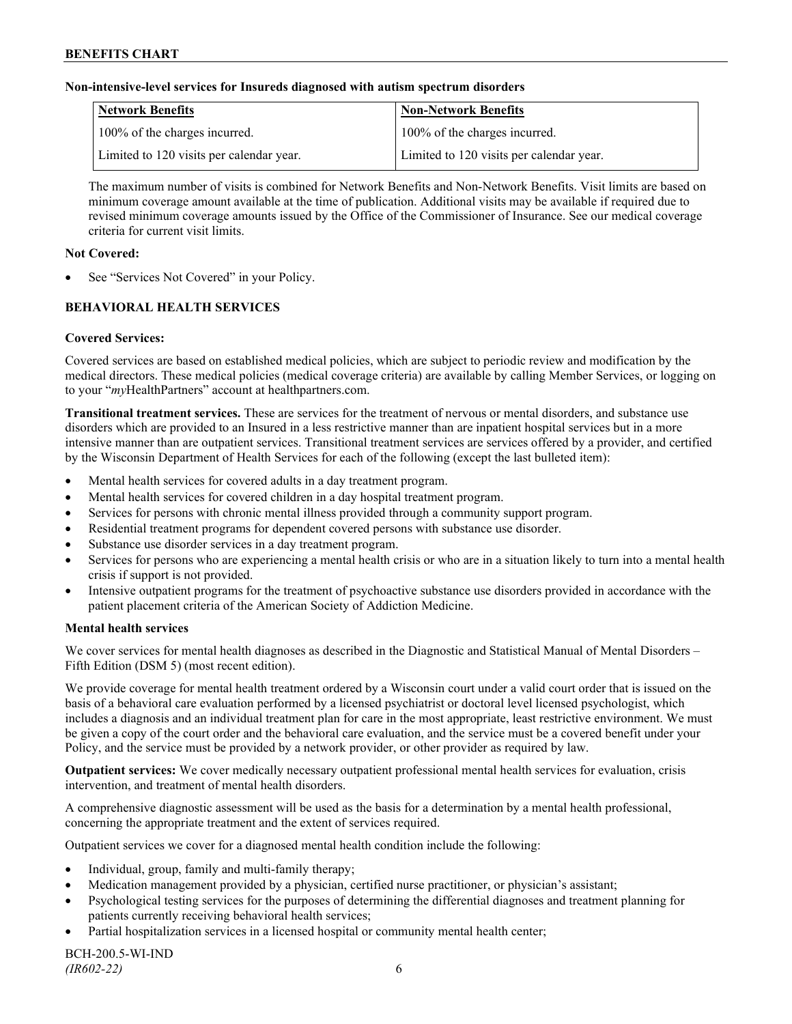### **Non-intensive-level services for Insureds diagnosed with autism spectrum disorders**

| Network Benefits                         | <b>Non-Network Benefits</b>              |
|------------------------------------------|------------------------------------------|
| 100% of the charges incurred.            | 100% of the charges incurred.            |
| Limited to 120 visits per calendar year. | Limited to 120 visits per calendar year. |

The maximum number of visits is combined for Network Benefits and Non-Network Benefits. Visit limits are based on minimum coverage amount available at the time of publication. Additional visits may be available if required due to revised minimum coverage amounts issued by the Office of the Commissioner of Insurance. See our medical coverage criteria for current visit limits.

### **Not Covered:**

See "Services Not Covered" in your Policy.

# **BEHAVIORAL HEALTH SERVICES**

# **Covered Services:**

Covered services are based on established medical policies, which are subject to periodic review and modification by the medical directors. These medical policies (medical coverage criteria) are available by calling Member Services, or logging on to your "*my*HealthPartners" account at [healthpartners.com.](http://www.healthpartners.com/)

**Transitional treatment services.** These are services for the treatment of nervous or mental disorders, and substance use disorders which are provided to an Insured in a less restrictive manner than are inpatient hospital services but in a more intensive manner than are outpatient services. Transitional treatment services are services offered by a provider, and certified by the Wisconsin Department of Health Services for each of the following (except the last bulleted item):

- Mental health services for covered adults in a day treatment program.
- Mental health services for covered children in a day hospital treatment program.
- Services for persons with chronic mental illness provided through a community support program.
- Residential treatment programs for dependent covered persons with substance use disorder.
- Substance use disorder services in a day treatment program.
- Services for persons who are experiencing a mental health crisis or who are in a situation likely to turn into a mental health crisis if support is not provided.
- Intensive outpatient programs for the treatment of psychoactive substance use disorders provided in accordance with the patient placement criteria of the American Society of Addiction Medicine.

# **Mental health services**

We cover services for mental health diagnoses as described in the Diagnostic and Statistical Manual of Mental Disorders – Fifth Edition (DSM 5) (most recent edition).

We provide coverage for mental health treatment ordered by a Wisconsin court under a valid court order that is issued on the basis of a behavioral care evaluation performed by a licensed psychiatrist or doctoral level licensed psychologist, which includes a diagnosis and an individual treatment plan for care in the most appropriate, least restrictive environment. We must be given a copy of the court order and the behavioral care evaluation, and the service must be a covered benefit under your Policy, and the service must be provided by a network provider, or other provider as required by law.

**Outpatient services:** We cover medically necessary outpatient professional mental health services for evaluation, crisis intervention, and treatment of mental health disorders.

A comprehensive diagnostic assessment will be used as the basis for a determination by a mental health professional, concerning the appropriate treatment and the extent of services required.

Outpatient services we cover for a diagnosed mental health condition include the following:

- Individual, group, family and multi-family therapy;
- Medication management provided by a physician, certified nurse practitioner, or physician's assistant;
- Psychological testing services for the purposes of determining the differential diagnoses and treatment planning for patients currently receiving behavioral health services;
- Partial hospitalization services in a licensed hospital or community mental health center;

BCH-200.5-WI-IND *(IR602-22)* 6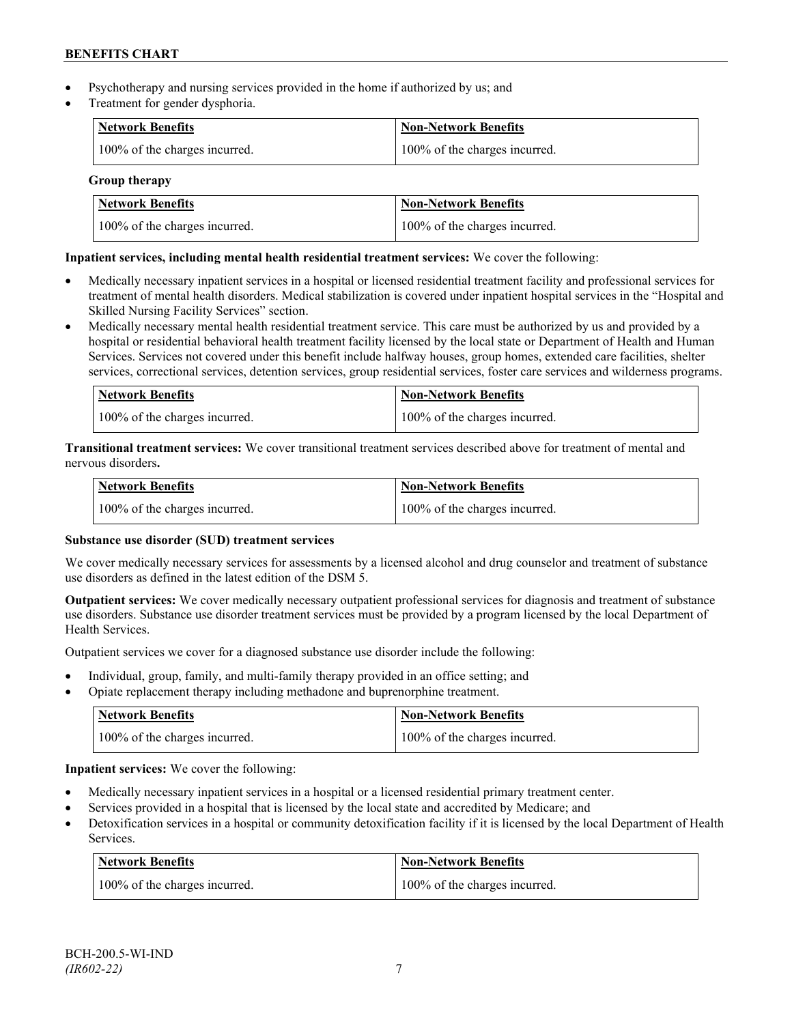- Psychotherapy and nursing services provided in the home if authorized by us; and
- Treatment for gender dysphoria.

| Network Benefits              | <b>Non-Network Benefits</b>   |
|-------------------------------|-------------------------------|
| 100% of the charges incurred. | 100% of the charges incurred. |

# **Group therapy**

| Network Benefits              | <b>Non-Network Benefits</b>   |
|-------------------------------|-------------------------------|
| 100% of the charges incurred. | 100% of the charges incurred. |

# **Inpatient services, including mental health residential treatment services:** We cover the following:

- Medically necessary inpatient services in a hospital or licensed residential treatment facility and professional services for treatment of mental health disorders. Medical stabilization is covered under inpatient hospital services in the "Hospital and Skilled Nursing Facility Services" section.
- Medically necessary mental health residential treatment service. This care must be authorized by us and provided by a hospital or residential behavioral health treatment facility licensed by the local state or Department of Health and Human Services. Services not covered under this benefit include halfway houses, group homes, extended care facilities, shelter services, correctional services, detention services, group residential services, foster care services and wilderness programs.

| Network Benefits              | Non-Network Benefits          |
|-------------------------------|-------------------------------|
| 100% of the charges incurred. | 100% of the charges incurred. |

**Transitional treatment services:** We cover transitional treatment services described above for treatment of mental and nervous disorders**.**

| Network Benefits              | Non-Network Benefits          |
|-------------------------------|-------------------------------|
| 100% of the charges incurred. | 100% of the charges incurred. |

# **Substance use disorder (SUD) treatment services**

We cover medically necessary services for assessments by a licensed alcohol and drug counselor and treatment of substance use disorders as defined in the latest edition of the DSM 5.

**Outpatient services:** We cover medically necessary outpatient professional services for diagnosis and treatment of substance use disorders. Substance use disorder treatment services must be provided by a program licensed by the local Department of Health Services.

Outpatient services we cover for a diagnosed substance use disorder include the following:

- Individual, group, family, and multi-family therapy provided in an office setting; and
- Opiate replacement therapy including methadone and buprenorphine treatment.

| <b>Network Benefits</b>       | <b>Non-Network Benefits</b>   |
|-------------------------------|-------------------------------|
| 100% of the charges incurred. | 100% of the charges incurred. |

**Inpatient services:** We cover the following:

- Medically necessary inpatient services in a hospital or a licensed residential primary treatment center.
- Services provided in a hospital that is licensed by the local state and accredited by Medicare; and
- Detoxification services in a hospital or community detoxification facility if it is licensed by the local Department of Health Services.

| Network Benefits              | <b>Non-Network Benefits</b>   |
|-------------------------------|-------------------------------|
| 100% of the charges incurred. | 100% of the charges incurred. |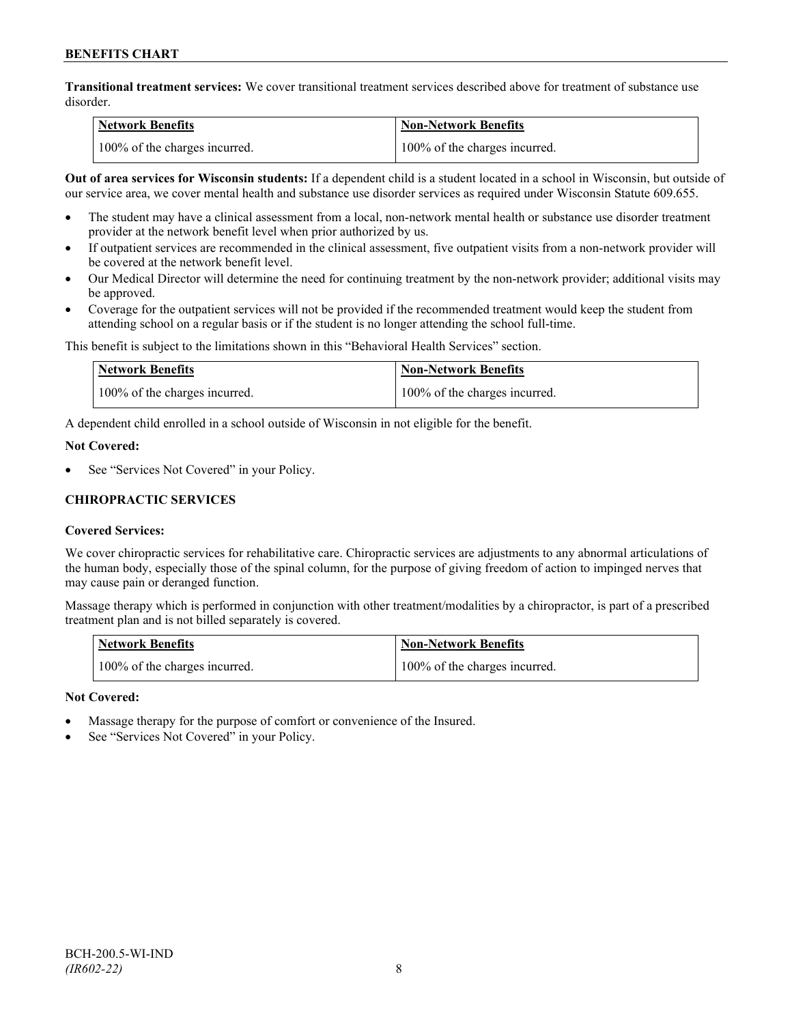**Transitional treatment services:** We cover transitional treatment services described above for treatment of substance use disorder.

| <b>Network Benefits</b>       | <b>Non-Network Benefits</b>   |
|-------------------------------|-------------------------------|
| 100% of the charges incurred. | 100% of the charges incurred. |

**Out of area services for Wisconsin students:** If a dependent child is a student located in a school in Wisconsin, but outside of our service area, we cover mental health and substance use disorder services as required under Wisconsin Statute 609.655.

- The student may have a clinical assessment from a local, non-network mental health or substance use disorder treatment provider at the network benefit level when prior authorized by us.
- If outpatient services are recommended in the clinical assessment, five outpatient visits from a non-network provider will be covered at the network benefit level.
- Our Medical Director will determine the need for continuing treatment by the non-network provider; additional visits may be approved.
- Coverage for the outpatient services will not be provided if the recommended treatment would keep the student from attending school on a regular basis or if the student is no longer attending the school full-time.

This benefit is subject to the limitations shown in this "Behavioral Health Services" section.

| Network Benefits              | <b>Non-Network Benefits</b>   |
|-------------------------------|-------------------------------|
| 100% of the charges incurred. | 100% of the charges incurred. |

A dependent child enrolled in a school outside of Wisconsin in not eligible for the benefit.

#### **Not Covered:**

See "Services Not Covered" in your Policy.

# **CHIROPRACTIC SERVICES**

# **Covered Services:**

We cover chiropractic services for rehabilitative care. Chiropractic services are adjustments to any abnormal articulations of the human body, especially those of the spinal column, for the purpose of giving freedom of action to impinged nerves that may cause pain or deranged function.

Massage therapy which is performed in conjunction with other treatment/modalities by a chiropractor, is part of a prescribed treatment plan and is not billed separately is covered.

| <b>Network Benefits</b>       | 'Non-Network Benefits         |
|-------------------------------|-------------------------------|
| 100% of the charges incurred. | 100% of the charges incurred. |

# **Not Covered:**

- Massage therapy for the purpose of comfort or convenience of the Insured.
- See "Services Not Covered" in your Policy.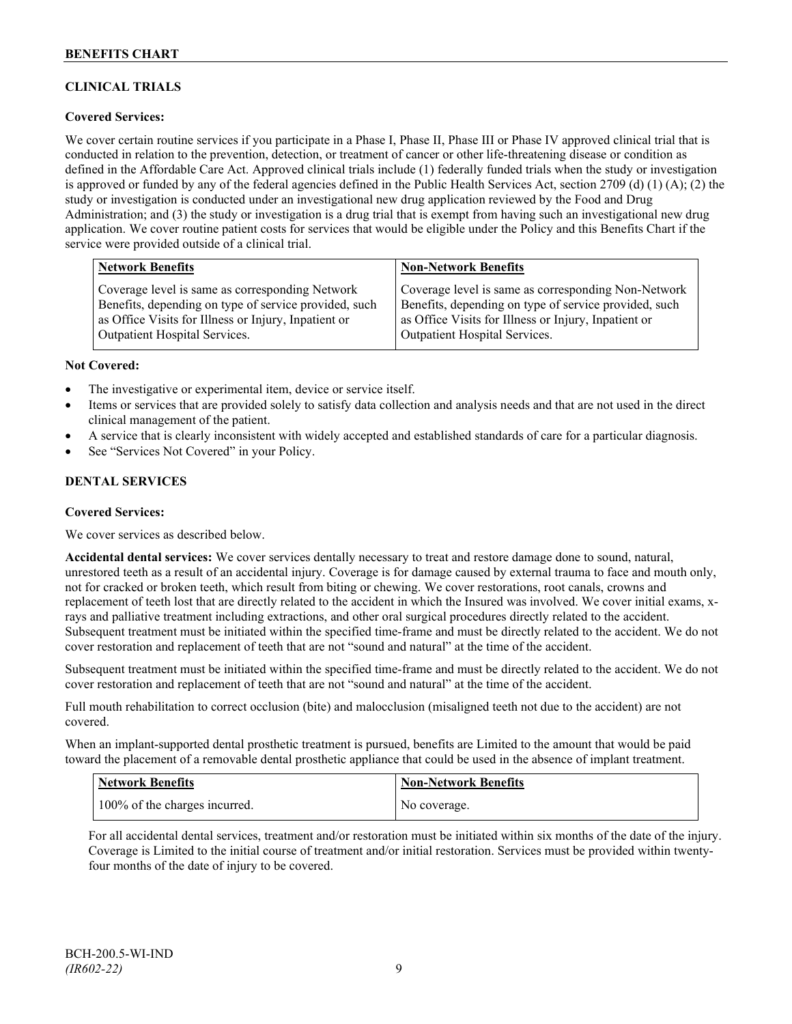# **CLINICAL TRIALS**

# **Covered Services:**

We cover certain routine services if you participate in a Phase I, Phase II, Phase III or Phase IV approved clinical trial that is conducted in relation to the prevention, detection, or treatment of cancer or other life-threatening disease or condition as defined in the Affordable Care Act. Approved clinical trials include (1) federally funded trials when the study or investigation is approved or funded by any of the federal agencies defined in the Public Health Services Act, section 2709 (d) (1) (A); (2) the study or investigation is conducted under an investigational new drug application reviewed by the Food and Drug Administration; and (3) the study or investigation is a drug trial that is exempt from having such an investigational new drug application. We cover routine patient costs for services that would be eligible under the Policy and this Benefits Chart if the service were provided outside of a clinical trial.

| <b>Network Benefits</b>                               | <b>Non-Network Benefits</b>                           |
|-------------------------------------------------------|-------------------------------------------------------|
| Coverage level is same as corresponding Network       | Coverage level is same as corresponding Non-Network   |
| Benefits, depending on type of service provided, such | Benefits, depending on type of service provided, such |
| as Office Visits for Illness or Injury, Inpatient or  | as Office Visits for Illness or Injury, Inpatient or  |
| <b>Outpatient Hospital Services.</b>                  | Outpatient Hospital Services.                         |

#### **Not Covered:**

- The investigative or experimental item, device or service itself.
- Items or services that are provided solely to satisfy data collection and analysis needs and that are not used in the direct clinical management of the patient.
- A service that is clearly inconsistent with widely accepted and established standards of care for a particular diagnosis.
- See "Services Not Covered" in your Policy.

# **DENTAL SERVICES**

#### **Covered Services:**

We cover services as described below.

**Accidental dental services:** We cover services dentally necessary to treat and restore damage done to sound, natural, unrestored teeth as a result of an accidental injury. Coverage is for damage caused by external trauma to face and mouth only, not for cracked or broken teeth, which result from biting or chewing. We cover restorations, root canals, crowns and replacement of teeth lost that are directly related to the accident in which the Insured was involved. We cover initial exams, xrays and palliative treatment including extractions, and other oral surgical procedures directly related to the accident. Subsequent treatment must be initiated within the specified time-frame and must be directly related to the accident. We do not cover restoration and replacement of teeth that are not "sound and natural" at the time of the accident.

Subsequent treatment must be initiated within the specified time-frame and must be directly related to the accident. We do not cover restoration and replacement of teeth that are not "sound and natural" at the time of the accident.

Full mouth rehabilitation to correct occlusion (bite) and malocclusion (misaligned teeth not due to the accident) are not covered.

When an implant-supported dental prosthetic treatment is pursued, benefits are Limited to the amount that would be paid toward the placement of a removable dental prosthetic appliance that could be used in the absence of implant treatment.

| <b>Network Benefits</b>       | <b>Non-Network Benefits</b> |
|-------------------------------|-----------------------------|
| 100% of the charges incurred. | No coverage.                |

For all accidental dental services, treatment and/or restoration must be initiated within six months of the date of the injury. Coverage is Limited to the initial course of treatment and/or initial restoration. Services must be provided within twentyfour months of the date of injury to be covered.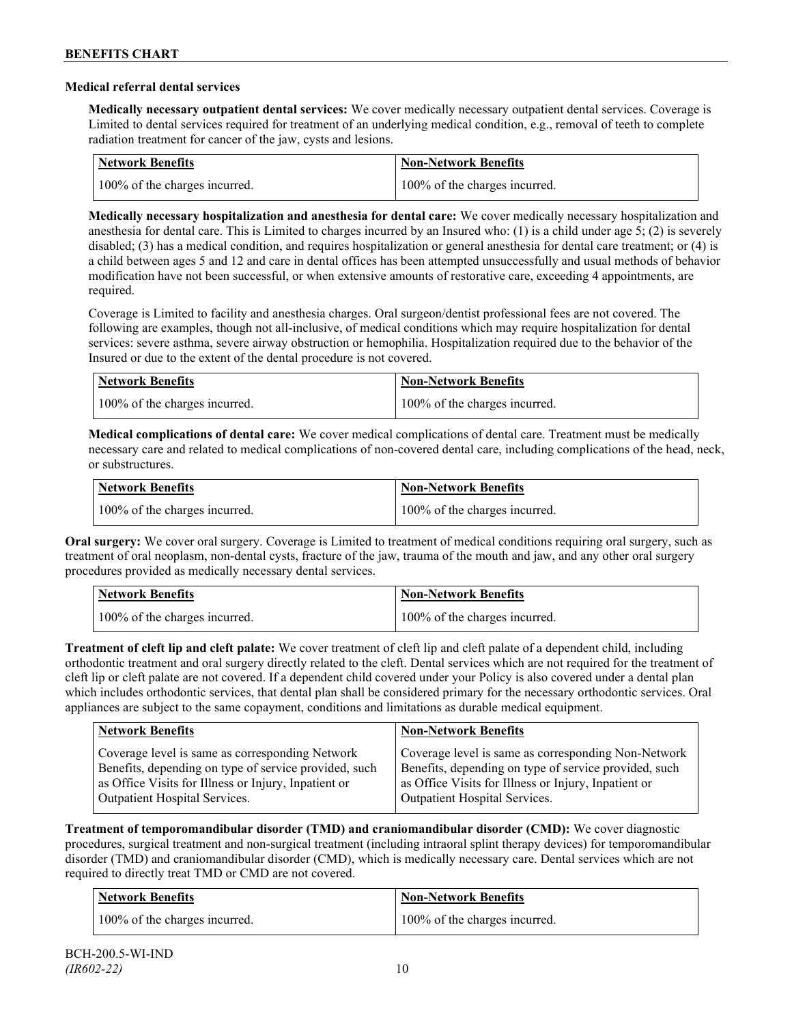### **Medical referral dental services**

**Medically necessary outpatient dental services:** We cover medically necessary outpatient dental services. Coverage is Limited to dental services required for treatment of an underlying medical condition, e.g., removal of teeth to complete radiation treatment for cancer of the jaw, cysts and lesions.

| Network Benefits              | <b>Non-Network Benefits</b>   |
|-------------------------------|-------------------------------|
| 100% of the charges incurred. | 100% of the charges incurred. |

**Medically necessary hospitalization and anesthesia for dental care:** We cover medically necessary hospitalization and anesthesia for dental care. This is Limited to charges incurred by an Insured who: (1) is a child under age 5; (2) is severely disabled; (3) has a medical condition, and requires hospitalization or general anesthesia for dental care treatment; or (4) is a child between ages 5 and 12 and care in dental offices has been attempted unsuccessfully and usual methods of behavior modification have not been successful, or when extensive amounts of restorative care, exceeding 4 appointments, are required.

Coverage is Limited to facility and anesthesia charges. Oral surgeon/dentist professional fees are not covered. The following are examples, though not all-inclusive, of medical conditions which may require hospitalization for dental services: severe asthma, severe airway obstruction or hemophilia. Hospitalization required due to the behavior of the Insured or due to the extent of the dental procedure is not covered.

| <b>Network Benefits</b>       | <b>Non-Network Benefits</b>   |
|-------------------------------|-------------------------------|
| 100% of the charges incurred. | 100% of the charges incurred. |

**Medical complications of dental care:** We cover medical complications of dental care. Treatment must be medically necessary care and related to medical complications of non-covered dental care, including complications of the head, neck, or substructures.

| Network Benefits              | Non-Network Benefits          |
|-------------------------------|-------------------------------|
| 100% of the charges incurred. | 100% of the charges incurred. |

**Oral surgery:** We cover oral surgery. Coverage is Limited to treatment of medical conditions requiring oral surgery, such as treatment of oral neoplasm, non-dental cysts, fracture of the jaw, trauma of the mouth and jaw, and any other oral surgery procedures provided as medically necessary dental services.

| <b>Network Benefits</b>       | <b>Non-Network Benefits</b>   |
|-------------------------------|-------------------------------|
| 100% of the charges incurred. | 100% of the charges incurred. |

**Treatment of cleft lip and cleft palate:** We cover treatment of cleft lip and cleft palate of a dependent child, including orthodontic treatment and oral surgery directly related to the cleft. Dental services which are not required for the treatment of cleft lip or cleft palate are not covered. If a dependent child covered under your Policy is also covered under a dental plan which includes orthodontic services, that dental plan shall be considered primary for the necessary orthodontic services. Oral appliances are subject to the same copayment, conditions and limitations as durable medical equipment.

| <b>Network Benefits</b>                               | <b>Non-Network Benefits</b>                           |
|-------------------------------------------------------|-------------------------------------------------------|
| Coverage level is same as corresponding Network       | Coverage level is same as corresponding Non-Network   |
| Benefits, depending on type of service provided, such | Benefits, depending on type of service provided, such |
| as Office Visits for Illness or Injury, Inpatient or  | as Office Visits for Illness or Injury, Inpatient or  |
| Outpatient Hospital Services.                         | Outpatient Hospital Services.                         |

**Treatment of temporomandibular disorder (TMD) and craniomandibular disorder (CMD):** We cover diagnostic procedures, surgical treatment and non-surgical treatment (including intraoral splint therapy devices) for temporomandibular disorder (TMD) and craniomandibular disorder (CMD), which is medically necessary care. Dental services which are not required to directly treat TMD or CMD are not covered.

| <b>Network Benefits</b>       | <b>Non-Network Benefits</b>   |
|-------------------------------|-------------------------------|
| 100% of the charges incurred. | 100% of the charges incurred. |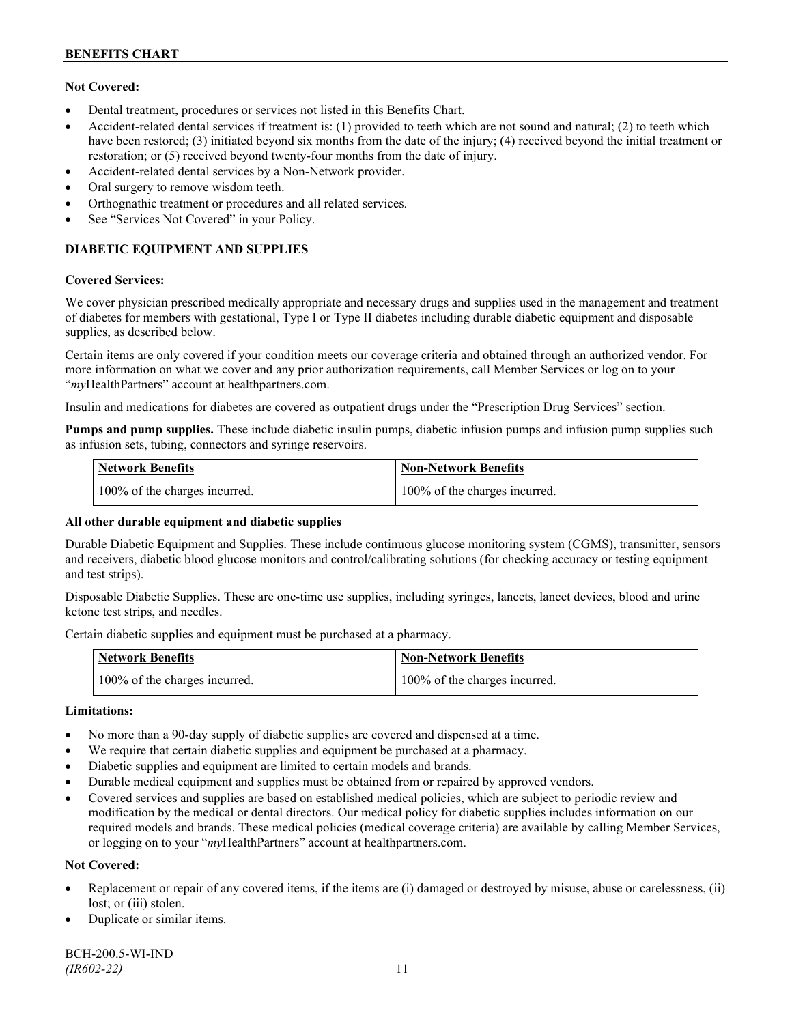# **Not Covered:**

- Dental treatment, procedures or services not listed in this Benefits Chart.
- Accident-related dental services if treatment is: (1) provided to teeth which are not sound and natural; (2) to teeth which have been restored; (3) initiated beyond six months from the date of the injury; (4) received beyond the initial treatment or restoration; or (5) received beyond twenty-four months from the date of injury.
- Accident-related dental services by a Non-Network provider.
- Oral surgery to remove wisdom teeth.
- Orthognathic treatment or procedures and all related services.
- See "Services Not Covered" in your Policy.

# **DIABETIC EQUIPMENT AND SUPPLIES**

#### **Covered Services:**

We cover physician prescribed medically appropriate and necessary drugs and supplies used in the management and treatment of diabetes for members with gestational, Type I or Type II diabetes including durable diabetic equipment and disposable supplies, as described below.

Certain items are only covered if your condition meets our coverage criteria and obtained through an authorized vendor. For more information on what we cover and any prior authorization requirements, call Member Services or log on to your "*my*HealthPartners" account at [healthpartners.com.](http://www.healthpartners.com/)

Insulin and medications for diabetes are covered as outpatient drugs under the "Prescription Drug Services" section.

**Pumps and pump supplies.** These include diabetic insulin pumps, diabetic infusion pumps and infusion pump supplies such as infusion sets, tubing, connectors and syringe reservoirs.

| <b>Network Benefits</b>       | <b>Non-Network Benefits</b>   |
|-------------------------------|-------------------------------|
| 100% of the charges incurred. | 100% of the charges incurred. |

# **All other durable equipment and diabetic supplies**

Durable Diabetic Equipment and Supplies. These include continuous glucose monitoring system (CGMS), transmitter, sensors and receivers, diabetic blood glucose monitors and control/calibrating solutions (for checking accuracy or testing equipment and test strips).

Disposable Diabetic Supplies. These are one-time use supplies, including syringes, lancets, lancet devices, blood and urine ketone test strips, and needles.

Certain diabetic supplies and equipment must be purchased at a pharmacy.

| <b>Network Benefits</b>       | <b>Non-Network Benefits</b>   |
|-------------------------------|-------------------------------|
| 100% of the charges incurred. | 100% of the charges incurred. |

# **Limitations:**

- No more than a 90-day supply of diabetic supplies are covered and dispensed at a time.
- We require that certain diabetic supplies and equipment be purchased at a pharmacy.
- Diabetic supplies and equipment are limited to certain models and brands.
- Durable medical equipment and supplies must be obtained from or repaired by approved vendors.
- Covered services and supplies are based on established medical policies, which are subject to periodic review and modification by the medical or dental directors. Our medical policy for diabetic supplies includes information on our required models and brands. These medical policies (medical coverage criteria) are available by calling Member Services, or logging on to your "*my*HealthPartners" account at healthpartners.com.

# **Not Covered:**

- Replacement or repair of any covered items, if the items are (i) damaged or destroyed by misuse, abuse or carelessness, (ii) lost; or (iii) stolen.
- Duplicate or similar items.

BCH-200.5-WI-IND *(IR602-22)* 11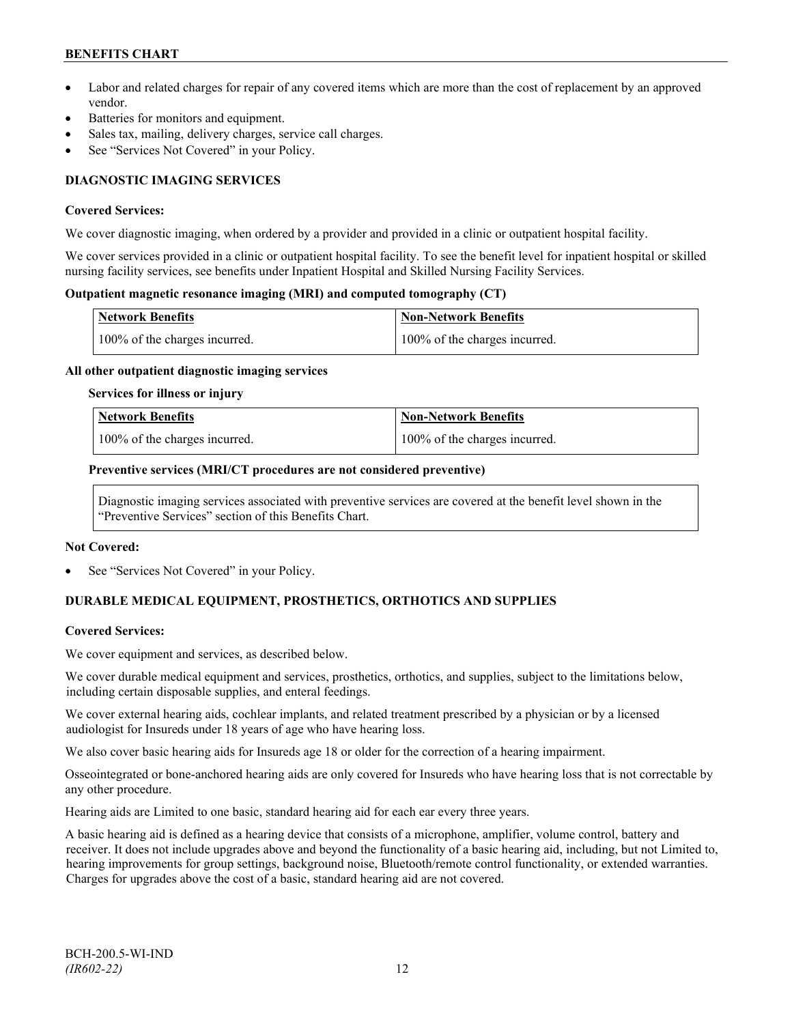- Labor and related charges for repair of any covered items which are more than the cost of replacement by an approved vendor.
- Batteries for monitors and equipment.
- Sales tax, mailing, delivery charges, service call charges.
- See "Services Not Covered" in your Policy.

# **DIAGNOSTIC IMAGING SERVICES**

#### **Covered Services:**

We cover diagnostic imaging, when ordered by a provider and provided in a clinic or outpatient hospital facility.

We cover services provided in a clinic or outpatient hospital facility. To see the benefit level for inpatient hospital or skilled nursing facility services, see benefits under Inpatient Hospital and Skilled Nursing Facility Services.

### **Outpatient magnetic resonance imaging (MRI) and computed tomography (CT)**

| <b>Network Benefits</b>       | <b>Non-Network Benefits</b>   |
|-------------------------------|-------------------------------|
| 100% of the charges incurred. | 100% of the charges incurred. |

#### **All other outpatient diagnostic imaging services**

#### **Services for illness or injury**

| <b>Network Benefits</b>       | <b>Non-Network Benefits</b>      |
|-------------------------------|----------------------------------|
| 100% of the charges incurred. | $100\%$ of the charges incurred. |

#### **Preventive services (MRI/CT procedures are not considered preventive)**

Diagnostic imaging services associated with preventive services are covered at the benefit level shown in the "Preventive Services" section of this Benefits Chart.

#### **Not Covered:**

See "Services Not Covered" in your Policy.

# **DURABLE MEDICAL EQUIPMENT, PROSTHETICS, ORTHOTICS AND SUPPLIES**

# **Covered Services:**

We cover equipment and services, as described below.

We cover durable medical equipment and services, prosthetics, orthotics, and supplies, subject to the limitations below, including certain disposable supplies, and enteral feedings.

We cover external hearing aids, cochlear implants, and related treatment prescribed by a physician or by a licensed audiologist for Insureds under 18 years of age who have hearing loss.

We also cover basic hearing aids for Insureds age 18 or older for the correction of a hearing impairment.

Osseointegrated or bone-anchored hearing aids are only covered for Insureds who have hearing loss that is not correctable by any other procedure.

Hearing aids are Limited to one basic, standard hearing aid for each ear every three years.

A basic hearing aid is defined as a hearing device that consists of a microphone, amplifier, volume control, battery and receiver. It does not include upgrades above and beyond the functionality of a basic hearing aid, including, but not Limited to, hearing improvements for group settings, background noise, Bluetooth/remote control functionality, or extended warranties. Charges for upgrades above the cost of a basic, standard hearing aid are not covered.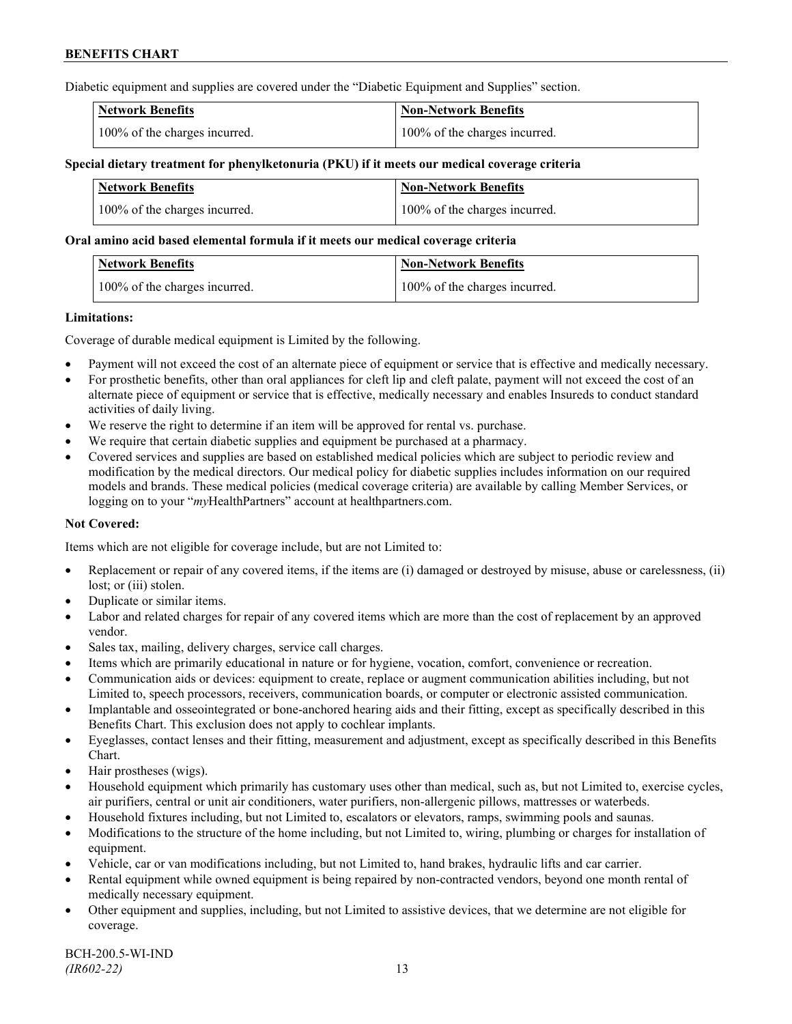Diabetic equipment and supplies are covered under the "Diabetic Equipment and Supplies" section.

| <b>Network Benefits</b>       | <b>Non-Network Benefits</b>   |
|-------------------------------|-------------------------------|
| 100% of the charges incurred. | 100% of the charges incurred. |

### **Special dietary treatment for phenylketonuria (PKU) if it meets our medical coverage criteria**

| <b>Network Benefits</b>       | <b>Non-Network Benefits</b>   |
|-------------------------------|-------------------------------|
| 100% of the charges incurred. | 100% of the charges incurred. |

#### **Oral amino acid based elemental formula if it meets our medical coverage criteria**

| Network Benefits              | <b>Non-Network Benefits</b>   |
|-------------------------------|-------------------------------|
| 100% of the charges incurred. | 100% of the charges incurred. |

#### **Limitations:**

Coverage of durable medical equipment is Limited by the following.

- Payment will not exceed the cost of an alternate piece of equipment or service that is effective and medically necessary.
- For prosthetic benefits, other than oral appliances for cleft lip and cleft palate, payment will not exceed the cost of an alternate piece of equipment or service that is effective, medically necessary and enables Insureds to conduct standard activities of daily living.
- We reserve the right to determine if an item will be approved for rental vs. purchase.
- We require that certain diabetic supplies and equipment be purchased at a pharmacy.
- Covered services and supplies are based on established medical policies which are subject to periodic review and modification by the medical directors. Our medical policy for diabetic supplies includes information on our required models and brands. These medical policies (medical coverage criteria) are available by calling Member Services, or logging on to your "*my*HealthPartners" account at [healthpartners.com.](http://www.healthpartners.com/)

# **Not Covered:**

Items which are not eligible for coverage include, but are not Limited to:

- Replacement or repair of any covered items, if the items are (i) damaged or destroyed by misuse, abuse or carelessness, (ii) lost; or (iii) stolen.
- Duplicate or similar items.
- Labor and related charges for repair of any covered items which are more than the cost of replacement by an approved vendor.
- Sales tax, mailing, delivery charges, service call charges.
- Items which are primarily educational in nature or for hygiene, vocation, comfort, convenience or recreation.
- Communication aids or devices: equipment to create, replace or augment communication abilities including, but not Limited to, speech processors, receivers, communication boards, or computer or electronic assisted communication.
- Implantable and osseointegrated or bone-anchored hearing aids and their fitting, except as specifically described in this Benefits Chart. This exclusion does not apply to cochlear implants.
- Eyeglasses, contact lenses and their fitting, measurement and adjustment, except as specifically described in this Benefits Chart.
- Hair prostheses (wigs).
- Household equipment which primarily has customary uses other than medical, such as, but not Limited to, exercise cycles, air purifiers, central or unit air conditioners, water purifiers, non-allergenic pillows, mattresses or waterbeds.
- Household fixtures including, but not Limited to, escalators or elevators, ramps, swimming pools and saunas.
- Modifications to the structure of the home including, but not Limited to, wiring, plumbing or charges for installation of equipment.
- Vehicle, car or van modifications including, but not Limited to, hand brakes, hydraulic lifts and car carrier.
- Rental equipment while owned equipment is being repaired by non-contracted vendors, beyond one month rental of medically necessary equipment.
- Other equipment and supplies, including, but not Limited to assistive devices, that we determine are not eligible for coverage.

BCH-200.5-WI-IND *(IR602-22)* 13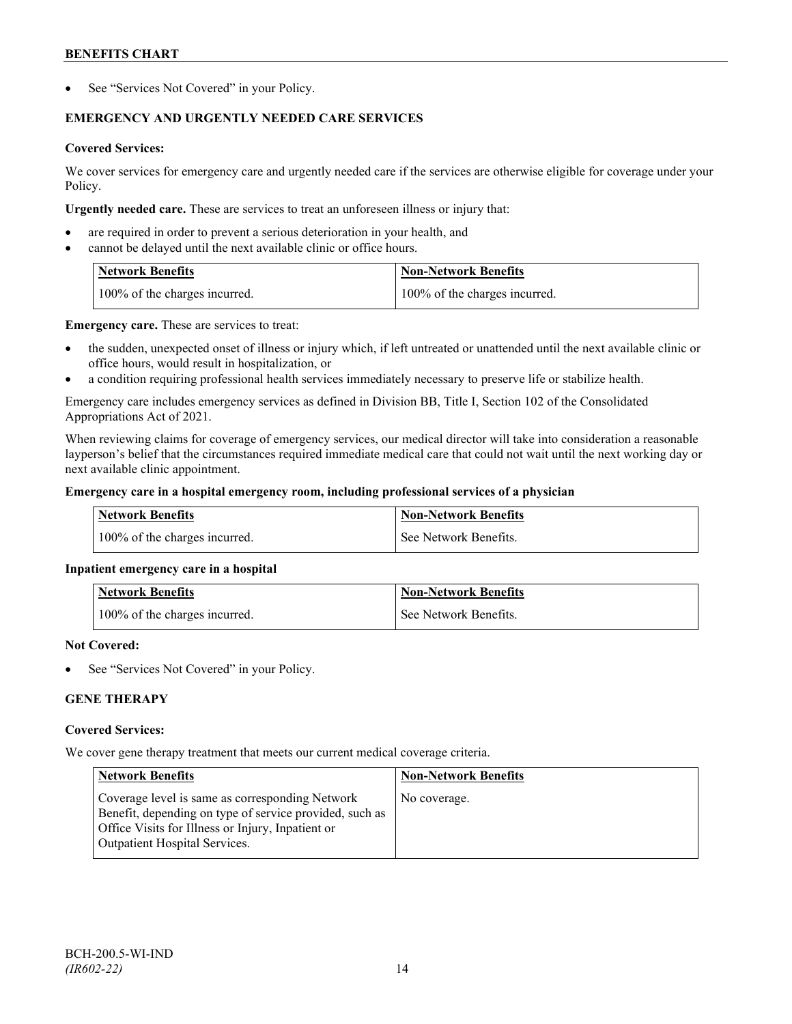See "Services Not Covered" in your Policy.

# **EMERGENCY AND URGENTLY NEEDED CARE SERVICES**

# **Covered Services:**

We cover services for emergency care and urgently needed care if the services are otherwise eligible for coverage under your Policy.

**Urgently needed care.** These are services to treat an unforeseen illness or injury that:

- are required in order to prevent a serious deterioration in your health, and
- cannot be delayed until the next available clinic or office hours.

| <b>Network Benefits</b>       | <b>Non-Network Benefits</b>   |
|-------------------------------|-------------------------------|
| 100% of the charges incurred. | 100% of the charges incurred. |

**Emergency care.** These are services to treat:

- the sudden, unexpected onset of illness or injury which, if left untreated or unattended until the next available clinic or office hours, would result in hospitalization, or
- a condition requiring professional health services immediately necessary to preserve life or stabilize health.

Emergency care includes emergency services as defined in Division BB, Title I, Section 102 of the Consolidated Appropriations Act of 2021.

When reviewing claims for coverage of emergency services, our medical director will take into consideration a reasonable layperson's belief that the circumstances required immediate medical care that could not wait until the next working day or next available clinic appointment.

# **Emergency care in a hospital emergency room, including professional services of a physician**

| <b>Network Benefits</b>       | Non-Network Benefits    |
|-------------------------------|-------------------------|
| 100% of the charges incurred. | l See Network Benefits. |

# **Inpatient emergency care in a hospital**

| <b>Network Benefits</b>       | <b>Non-Network Benefits</b> |
|-------------------------------|-----------------------------|
| 100% of the charges incurred. | See Network Benefits.       |

# **Not Covered:**

See "Services Not Covered" in your Policy.

# **GENE THERAPY**

# **Covered Services:**

We cover gene therapy treatment that meets our current medical coverage criteria.

| <b>Network Benefits</b>                                                                                                                                                                                 | <b>Non-Network Benefits</b> |
|---------------------------------------------------------------------------------------------------------------------------------------------------------------------------------------------------------|-----------------------------|
| Coverage level is same as corresponding Network<br>Benefit, depending on type of service provided, such as<br>Office Visits for Illness or Injury, Inpatient or<br><b>Outpatient Hospital Services.</b> | No coverage.                |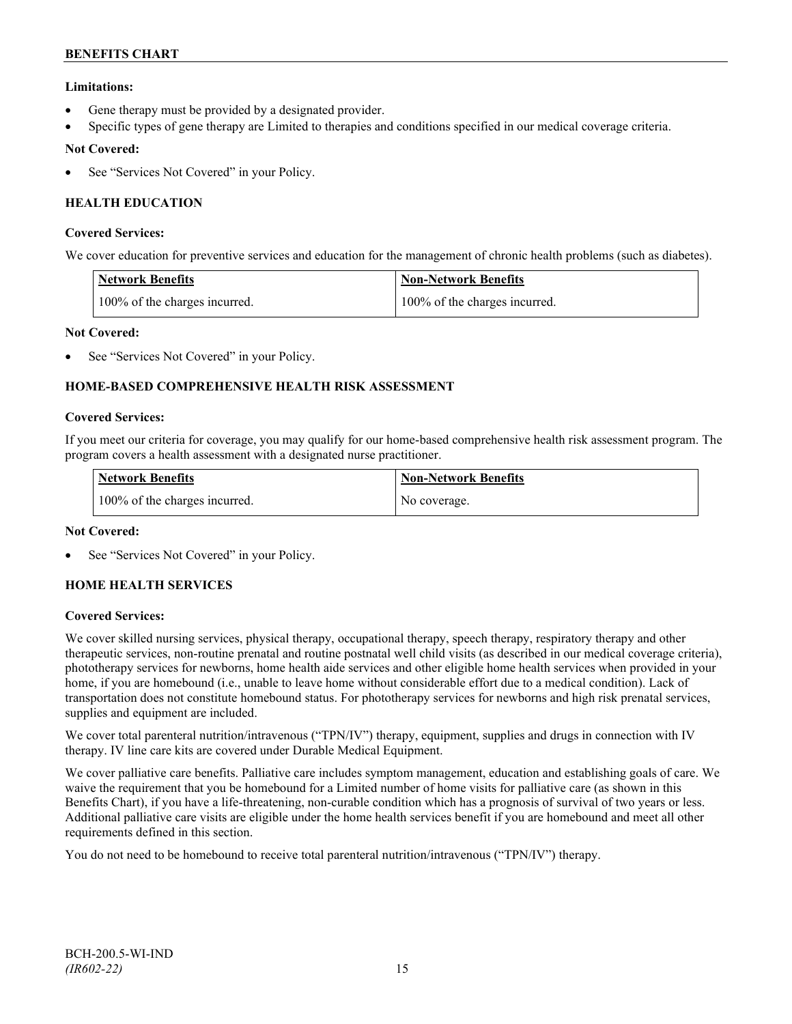# **Limitations:**

- Gene therapy must be provided by a designated provider.
- Specific types of gene therapy are Limited to therapies and conditions specified in our medical coverage criteria.

# **Not Covered:**

See "Services Not Covered" in your Policy.

# **HEALTH EDUCATION**

# **Covered Services:**

We cover education for preventive services and education for the management of chronic health problems (such as diabetes).

| <b>Network Benefits</b>       | <b>Non-Network Benefits</b>   |
|-------------------------------|-------------------------------|
| 100% of the charges incurred. | 100% of the charges incurred. |

# **Not Covered:**

See "Services Not Covered" in your Policy.

# **HOME-BASED COMPREHENSIVE HEALTH RISK ASSESSMENT**

#### **Covered Services:**

If you meet our criteria for coverage, you may qualify for our home-based comprehensive health risk assessment program. The program covers a health assessment with a designated nurse practitioner.

| <b>Network Benefits</b>       | <b>Non-Network Benefits</b> |
|-------------------------------|-----------------------------|
| 100% of the charges incurred. | No coverage.                |

# **Not Covered:**

See "Services Not Covered" in your Policy.

# **HOME HEALTH SERVICES**

# **Covered Services:**

We cover skilled nursing services, physical therapy, occupational therapy, speech therapy, respiratory therapy and other therapeutic services, non-routine prenatal and routine postnatal well child visits (as described in our medical coverage criteria), phototherapy services for newborns, home health aide services and other eligible home health services when provided in your home, if you are homebound (i.e., unable to leave home without considerable effort due to a medical condition). Lack of transportation does not constitute homebound status. For phototherapy services for newborns and high risk prenatal services, supplies and equipment are included.

We cover total parenteral nutrition/intravenous ("TPN/IV") therapy, equipment, supplies and drugs in connection with IV therapy. IV line care kits are covered under Durable Medical Equipment.

We cover palliative care benefits. Palliative care includes symptom management, education and establishing goals of care. We waive the requirement that you be homebound for a Limited number of home visits for palliative care (as shown in this Benefits Chart), if you have a life-threatening, non-curable condition which has a prognosis of survival of two years or less. Additional palliative care visits are eligible under the home health services benefit if you are homebound and meet all other requirements defined in this section.

You do not need to be homebound to receive total parenteral nutrition/intravenous ("TPN/IV") therapy.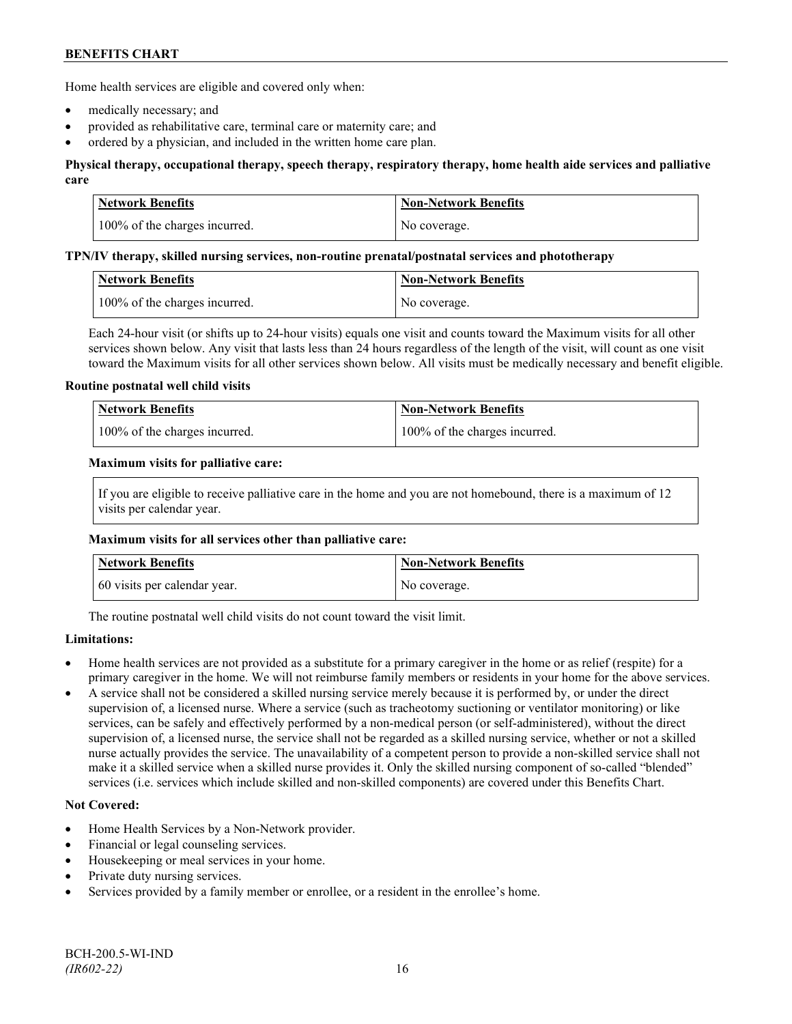Home health services are eligible and covered only when:

- medically necessary; and
- provided as rehabilitative care, terminal care or maternity care; and
- ordered by a physician, and included in the written home care plan.

# **Physical therapy, occupational therapy, speech therapy, respiratory therapy, home health aide services and palliative care**

| <b>Network Benefits</b>       | <b>Non-Network Benefits</b> |
|-------------------------------|-----------------------------|
| 100% of the charges incurred. | No coverage.                |

#### **TPN/IV therapy, skilled nursing services, non-routine prenatal/postnatal services and phototherapy**

| Network Benefits              | Non-Network Benefits |
|-------------------------------|----------------------|
| 100% of the charges incurred. | No coverage.         |

Each 24-hour visit (or shifts up to 24-hour visits) equals one visit and counts toward the Maximum visits for all other services shown below. Any visit that lasts less than 24 hours regardless of the length of the visit, will count as one visit toward the Maximum visits for all other services shown below. All visits must be medically necessary and benefit eligible.

#### **Routine postnatal well child visits**

| <b>Network Benefits</b>       | Non-Network Benefits          |
|-------------------------------|-------------------------------|
| 100% of the charges incurred. | 100% of the charges incurred. |

#### **Maximum visits for palliative care:**

If you are eligible to receive palliative care in the home and you are not homebound, there is a maximum of 12 visits per calendar year.

#### **Maximum visits for all services other than palliative care:**

| Network Benefits             | <b>Non-Network Benefits</b> |
|------------------------------|-----------------------------|
| 60 visits per calendar year. | No coverage.                |

The routine postnatal well child visits do not count toward the visit limit.

# **Limitations:**

- Home health services are not provided as a substitute for a primary caregiver in the home or as relief (respite) for a primary caregiver in the home. We will not reimburse family members or residents in your home for the above services.
- A service shall not be considered a skilled nursing service merely because it is performed by, or under the direct supervision of, a licensed nurse. Where a service (such as tracheotomy suctioning or ventilator monitoring) or like services, can be safely and effectively performed by a non-medical person (or self-administered), without the direct supervision of, a licensed nurse, the service shall not be regarded as a skilled nursing service, whether or not a skilled nurse actually provides the service. The unavailability of a competent person to provide a non-skilled service shall not make it a skilled service when a skilled nurse provides it. Only the skilled nursing component of so-called "blended" services (i.e. services which include skilled and non-skilled components) are covered under this Benefits Chart.

# **Not Covered:**

- Home Health Services by a Non-Network provider.
- Financial or legal counseling services.
- Housekeeping or meal services in your home.
- Private duty nursing services.
- Services provided by a family member or enrollee, or a resident in the enrollee's home.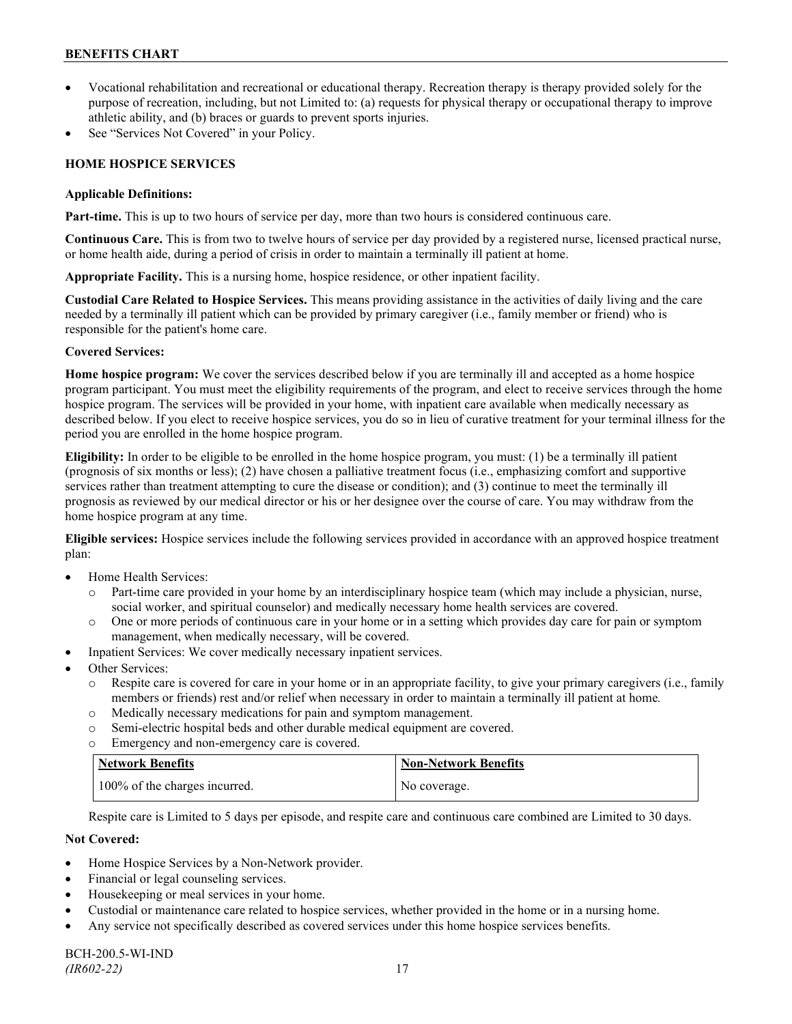- Vocational rehabilitation and recreational or educational therapy. Recreation therapy is therapy provided solely for the purpose of recreation, including, but not Limited to: (a) requests for physical therapy or occupational therapy to improve athletic ability, and (b) braces or guards to prevent sports injuries.
- See "Services Not Covered" in your Policy.

# **HOME HOSPICE SERVICES**

### **Applicable Definitions:**

**Part-time.** This is up to two hours of service per day, more than two hours is considered continuous care.

**Continuous Care.** This is from two to twelve hours of service per day provided by a registered nurse, licensed practical nurse, or home health aide, during a period of crisis in order to maintain a terminally ill patient at home.

**Appropriate Facility.** This is a nursing home, hospice residence, or other inpatient facility.

**Custodial Care Related to Hospice Services.** This means providing assistance in the activities of daily living and the care needed by a terminally ill patient which can be provided by primary caregiver (i.e., family member or friend) who is responsible for the patient's home care.

# **Covered Services:**

**Home hospice program:** We cover the services described below if you are terminally ill and accepted as a home hospice program participant. You must meet the eligibility requirements of the program, and elect to receive services through the home hospice program. The services will be provided in your home, with inpatient care available when medically necessary as described below. If you elect to receive hospice services, you do so in lieu of curative treatment for your terminal illness for the period you are enrolled in the home hospice program.

**Eligibility:** In order to be eligible to be enrolled in the home hospice program, you must: (1) be a terminally ill patient (prognosis of six months or less); (2) have chosen a palliative treatment focus (i.e., emphasizing comfort and supportive services rather than treatment attempting to cure the disease or condition); and (3) continue to meet the terminally ill prognosis as reviewed by our medical director or his or her designee over the course of care. You may withdraw from the home hospice program at any time.

**Eligible services:** Hospice services include the following services provided in accordance with an approved hospice treatment plan:

- Home Health Services:
	- o Part-time care provided in your home by an interdisciplinary hospice team (which may include a physician, nurse, social worker, and spiritual counselor) and medically necessary home health services are covered.
	- o One or more periods of continuous care in your home or in a setting which provides day care for pain or symptom management, when medically necessary, will be covered.
- Inpatient Services: We cover medically necessary inpatient services.
- Other Services:
	- o Respite care is covered for care in your home or in an appropriate facility, to give your primary caregivers (i.e., family members or friends) rest and/or relief when necessary in order to maintain a terminally ill patient at home*.*
	- o Medically necessary medications for pain and symptom management.
	- o Semi-electric hospital beds and other durable medical equipment are covered.
	- o Emergency and non-emergency care is covered.

| Network Benefits              | <b>Non-Network Benefits</b> |
|-------------------------------|-----------------------------|
| 100% of the charges incurred. | No coverage.                |

Respite care is Limited to 5 days per episode, and respite care and continuous care combined are Limited to 30 days.

# **Not Covered:**

- Home Hospice Services by a Non-Network provider.
- Financial or legal counseling services.
- Housekeeping or meal services in your home.
- Custodial or maintenance care related to hospice services, whether provided in the home or in a nursing home.
- Any service not specifically described as covered services under this home hospice services benefits.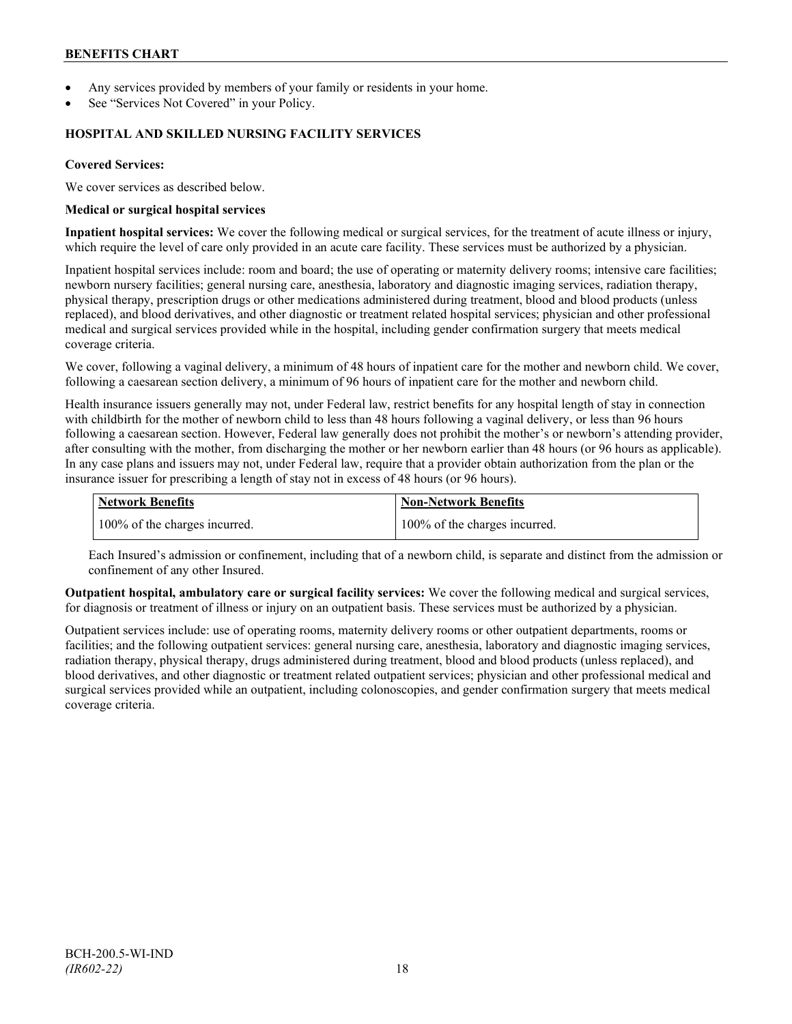- Any services provided by members of your family or residents in your home.
- See "Services Not Covered" in your Policy.

### **HOSPITAL AND SKILLED NURSING FACILITY SERVICES**

### **Covered Services:**

We cover services as described below.

#### **Medical or surgical hospital services**

**Inpatient hospital services:** We cover the following medical or surgical services, for the treatment of acute illness or injury, which require the level of care only provided in an acute care facility. These services must be authorized by a physician.

Inpatient hospital services include: room and board; the use of operating or maternity delivery rooms; intensive care facilities; newborn nursery facilities; general nursing care, anesthesia, laboratory and diagnostic imaging services, radiation therapy, physical therapy, prescription drugs or other medications administered during treatment, blood and blood products (unless replaced), and blood derivatives, and other diagnostic or treatment related hospital services; physician and other professional medical and surgical services provided while in the hospital, including gender confirmation surgery that meets medical coverage criteria.

We cover, following a vaginal delivery, a minimum of 48 hours of inpatient care for the mother and newborn child. We cover, following a caesarean section delivery, a minimum of 96 hours of inpatient care for the mother and newborn child.

Health insurance issuers generally may not, under Federal law, restrict benefits for any hospital length of stay in connection with childbirth for the mother of newborn child to less than 48 hours following a vaginal delivery, or less than 96 hours following a caesarean section. However, Federal law generally does not prohibit the mother's or newborn's attending provider, after consulting with the mother, from discharging the mother or her newborn earlier than 48 hours (or 96 hours as applicable). In any case plans and issuers may not, under Federal law, require that a provider obtain authorization from the plan or the insurance issuer for prescribing a length of stay not in excess of 48 hours (or 96 hours).

| <b>Network Benefits</b>       | Non-Network Benefits          |
|-------------------------------|-------------------------------|
| 100% of the charges incurred. | 100% of the charges incurred. |

Each Insured's admission or confinement, including that of a newborn child, is separate and distinct from the admission or confinement of any other Insured.

**Outpatient hospital, ambulatory care or surgical facility services:** We cover the following medical and surgical services, for diagnosis or treatment of illness or injury on an outpatient basis. These services must be authorized by a physician.

Outpatient services include: use of operating rooms, maternity delivery rooms or other outpatient departments, rooms or facilities; and the following outpatient services: general nursing care, anesthesia, laboratory and diagnostic imaging services, radiation therapy, physical therapy, drugs administered during treatment, blood and blood products (unless replaced), and blood derivatives, and other diagnostic or treatment related outpatient services; physician and other professional medical and surgical services provided while an outpatient, including colonoscopies, and gender confirmation surgery that meets medical coverage criteria.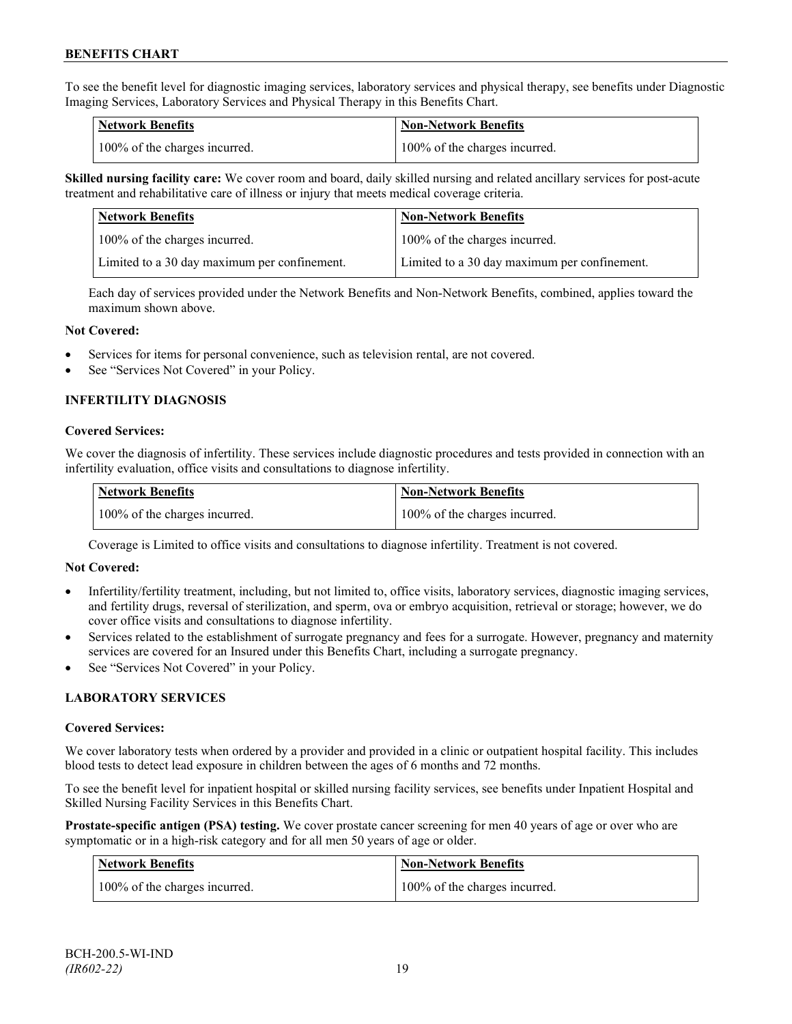To see the benefit level for diagnostic imaging services, laboratory services and physical therapy, see benefits under Diagnostic Imaging Services, Laboratory Services and Physical Therapy in this Benefits Chart.

| <b>Network Benefits</b>       | <b>Non-Network Benefits</b>   |
|-------------------------------|-------------------------------|
| 100% of the charges incurred. | 100% of the charges incurred. |

**Skilled nursing facility care:** We cover room and board, daily skilled nursing and related ancillary services for post-acute treatment and rehabilitative care of illness or injury that meets medical coverage criteria.

| Network Benefits                             | <b>Non-Network Benefits</b>                  |
|----------------------------------------------|----------------------------------------------|
| 100% of the charges incurred.                | 100% of the charges incurred.                |
| Limited to a 30 day maximum per confinement. | Limited to a 30 day maximum per confinement. |

Each day of services provided under the Network Benefits and Non-Network Benefits, combined, applies toward the maximum shown above.

#### **Not Covered:**

- Services for items for personal convenience, such as television rental, are not covered.
- See "Services Not Covered" in your Policy.

# **INFERTILITY DIAGNOSIS**

#### **Covered Services:**

We cover the diagnosis of infertility. These services include diagnostic procedures and tests provided in connection with an infertility evaluation, office visits and consultations to diagnose infertility.

| <b>Network Benefits</b>       | <b>Non-Network Benefits</b>   |
|-------------------------------|-------------------------------|
| 100% of the charges incurred. | 100% of the charges incurred. |

Coverage is Limited to office visits and consultations to diagnose infertility. Treatment is not covered.

#### **Not Covered:**

- Infertility/fertility treatment, including, but not limited to, office visits, laboratory services, diagnostic imaging services, and fertility drugs, reversal of sterilization, and sperm, ova or embryo acquisition, retrieval or storage; however, we do cover office visits and consultations to diagnose infertility.
- Services related to the establishment of surrogate pregnancy and fees for a surrogate. However, pregnancy and maternity services are covered for an Insured under this Benefits Chart, including a surrogate pregnancy.
- See "Services Not Covered" in your Policy.

# **LABORATORY SERVICES**

#### **Covered Services:**

We cover laboratory tests when ordered by a provider and provided in a clinic or outpatient hospital facility. This includes blood tests to detect lead exposure in children between the ages of 6 months and 72 months.

To see the benefit level for inpatient hospital or skilled nursing facility services, see benefits under Inpatient Hospital and Skilled Nursing Facility Services in this Benefits Chart.

**Prostate-specific antigen (PSA) testing.** We cover prostate cancer screening for men 40 years of age or over who are symptomatic or in a high-risk category and for all men 50 years of age or older.

| <b>Network Benefits</b>       | <b>Non-Network Benefits</b>   |
|-------------------------------|-------------------------------|
| 100% of the charges incurred. | 100% of the charges incurred. |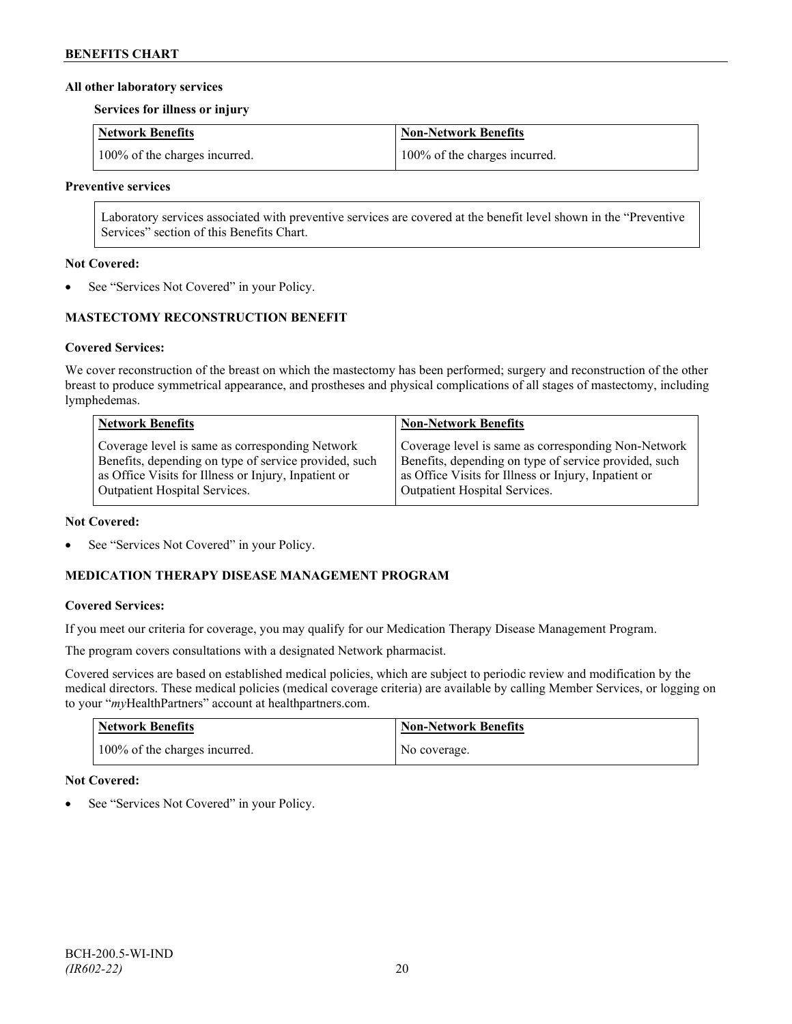### **All other laboratory services**

**Services for illness or injury**

| Network Benefits              | <b>Non-Network Benefits</b>   |
|-------------------------------|-------------------------------|
| 100% of the charges incurred. | 100% of the charges incurred. |

#### **Preventive services**

Laboratory services associated with preventive services are covered at the benefit level shown in the "Preventive Services" section of this Benefits Chart.

#### **Not Covered:**

See "Services Not Covered" in your Policy.

# **MASTECTOMY RECONSTRUCTION BENEFIT**

# **Covered Services:**

We cover reconstruction of the breast on which the mastectomy has been performed; surgery and reconstruction of the other breast to produce symmetrical appearance, and prostheses and physical complications of all stages of mastectomy, including lymphedemas.

| <b>Network Benefits</b>                               | <b>Non-Network Benefits</b>                           |
|-------------------------------------------------------|-------------------------------------------------------|
| Coverage level is same as corresponding Network       | Coverage level is same as corresponding Non-Network   |
| Benefits, depending on type of service provided, such | Benefits, depending on type of service provided, such |
| as Office Visits for Illness or Injury, Inpatient or  | as Office Visits for Illness or Injury, Inpatient or  |
| Outpatient Hospital Services.                         | Outpatient Hospital Services.                         |

#### **Not Covered:**

See "Services Not Covered" in your Policy.

# **MEDICATION THERAPY DISEASE MANAGEMENT PROGRAM**

# **Covered Services:**

If you meet our criteria for coverage, you may qualify for our Medication Therapy Disease Management Program.

The program covers consultations with a designated Network pharmacist.

Covered services are based on established medical policies, which are subject to periodic review and modification by the medical directors. These medical policies (medical coverage criteria) are available by calling Member Services, or logging on to your "*my*HealthPartners" account at [healthpartners.com.](http://www.healthpartners.com/)

| <b>Network Benefits</b>       | <b>Non-Network Benefits</b> |
|-------------------------------|-----------------------------|
| 100% of the charges incurred. | No coverage.                |

# **Not Covered:**

See "Services Not Covered" in your Policy.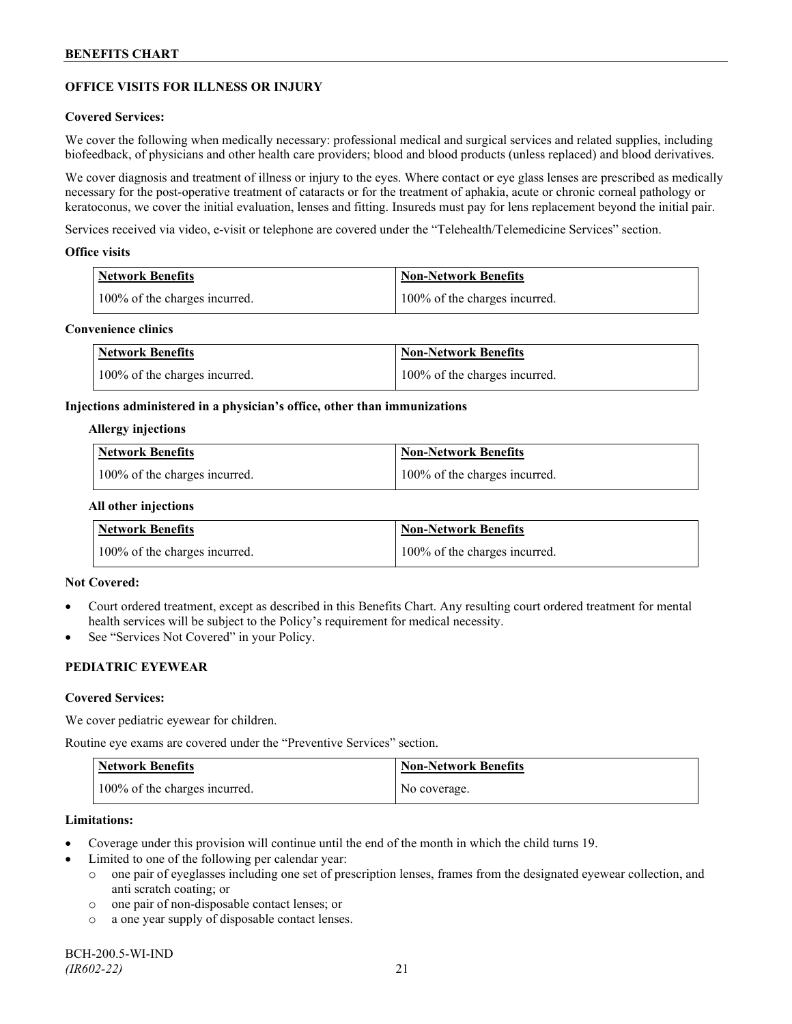# **OFFICE VISITS FOR ILLNESS OR INJURY**

#### **Covered Services:**

We cover the following when medically necessary: professional medical and surgical services and related supplies, including biofeedback, of physicians and other health care providers; blood and blood products (unless replaced) and blood derivatives.

We cover diagnosis and treatment of illness or injury to the eyes. Where contact or eye glass lenses are prescribed as medically necessary for the post-operative treatment of cataracts or for the treatment of aphakia, acute or chronic corneal pathology or keratoconus, we cover the initial evaluation, lenses and fitting. Insureds must pay for lens replacement beyond the initial pair.

Services received via video, e-visit or telephone are covered under the "Telehealth/Telemedicine Services" section.

#### **Office visits**

| Network Benefits              | <b>Non-Network Benefits</b>   |
|-------------------------------|-------------------------------|
| 100% of the charges incurred. | 100% of the charges incurred. |

### **Convenience clinics**

| <b>Network Benefits</b>       | <b>Non-Network Benefits</b>   |
|-------------------------------|-------------------------------|
| 100% of the charges incurred. | 100% of the charges incurred. |

#### **Injections administered in a physician's office, other than immunizations**

#### **Allergy injections**

| <b>Network Benefits</b>       | Non-Network Benefits          |
|-------------------------------|-------------------------------|
| 100% of the charges incurred. | 100% of the charges incurred. |

#### **All other injections**

| <b>Network Benefits</b>       | <b>Non-Network Benefits</b>   |
|-------------------------------|-------------------------------|
| 100% of the charges incurred. | 100% of the charges incurred. |

# **Not Covered:**

- Court ordered treatment, except as described in this Benefits Chart. Any resulting court ordered treatment for mental health services will be subject to the Policy's requirement for medical necessity.
- See "Services Not Covered" in your Policy.

# **PEDIATRIC EYEWEAR**

#### **Covered Services:**

We cover pediatric eyewear for children.

Routine eye exams are covered under the "Preventive Services" section.

| <b>Network Benefits</b>       | <b>Non-Network Benefits</b> |
|-------------------------------|-----------------------------|
| 100% of the charges incurred. | No coverage.                |

#### **Limitations:**

- Coverage under this provision will continue until the end of the month in which the child turns 19.
- Limited to one of the following per calendar year:
	- o one pair of eyeglasses including one set of prescription lenses, frames from the designated eyewear collection, and anti scratch coating; or
	- o one pair of non-disposable contact lenses; or
	- o a one year supply of disposable contact lenses.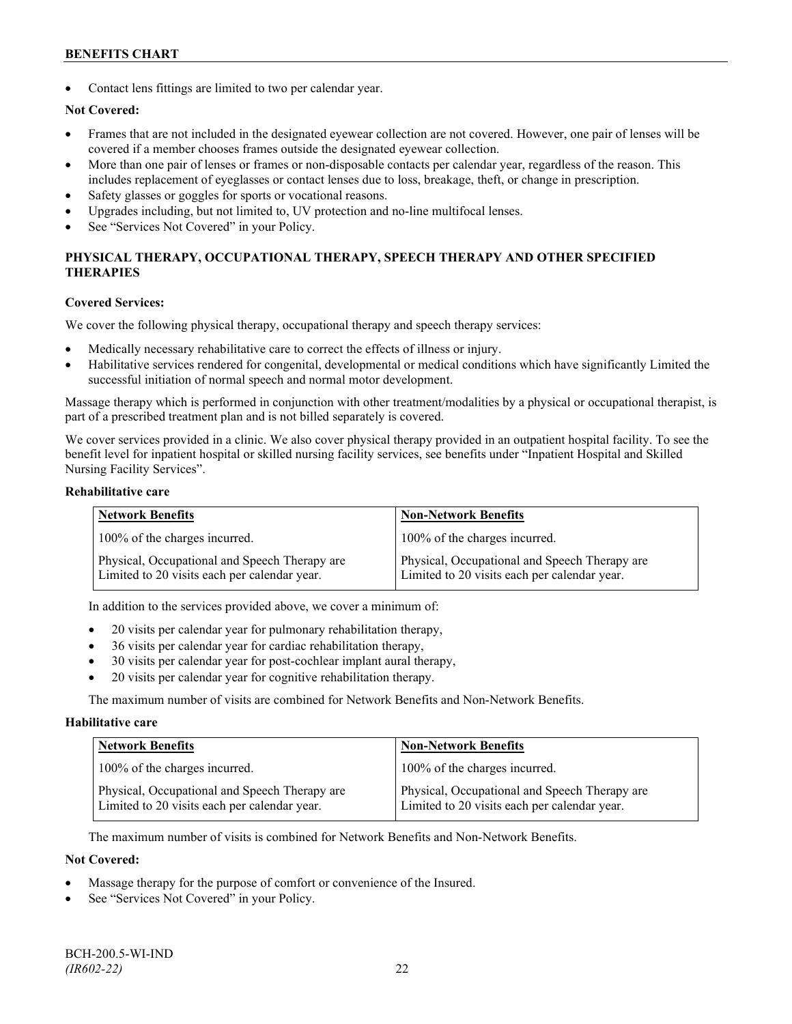Contact lens fittings are limited to two per calendar year.

# **Not Covered:**

- Frames that are not included in the designated eyewear collection are not covered. However, one pair of lenses will be covered if a member chooses frames outside the designated eyewear collection.
- More than one pair of lenses or frames or non-disposable contacts per calendar year, regardless of the reason. This includes replacement of eyeglasses or contact lenses due to loss, breakage, theft, or change in prescription.
- Safety glasses or goggles for sports or vocational reasons.
- Upgrades including, but not limited to, UV protection and no-line multifocal lenses.
- See "Services Not Covered" in your Policy.

# **PHYSICAL THERAPY, OCCUPATIONAL THERAPY, SPEECH THERAPY AND OTHER SPECIFIED THERAPIES**

#### **Covered Services:**

We cover the following physical therapy, occupational therapy and speech therapy services:

- Medically necessary rehabilitative care to correct the effects of illness or injury.
- Habilitative services rendered for congenital, developmental or medical conditions which have significantly Limited the successful initiation of normal speech and normal motor development.

Massage therapy which is performed in conjunction with other treatment/modalities by a physical or occupational therapist, is part of a prescribed treatment plan and is not billed separately is covered.

We cover services provided in a clinic. We also cover physical therapy provided in an outpatient hospital facility. To see the benefit level for inpatient hospital or skilled nursing facility services, see benefits under "Inpatient Hospital and Skilled Nursing Facility Services".

### **Rehabilitative care**

| <b>Network Benefits</b>                                                                       | <b>Non-Network Benefits</b>                                                                   |
|-----------------------------------------------------------------------------------------------|-----------------------------------------------------------------------------------------------|
| 100% of the charges incurred.                                                                 | 100% of the charges incurred.                                                                 |
| Physical, Occupational and Speech Therapy are<br>Limited to 20 visits each per calendar year. | Physical, Occupational and Speech Therapy are<br>Limited to 20 visits each per calendar year. |

In addition to the services provided above, we cover a minimum of:

- 20 visits per calendar year for pulmonary rehabilitation therapy,
- 36 visits per calendar year for cardiac rehabilitation therapy,
- 30 visits per calendar year for post-cochlear implant aural therapy,
- 20 visits per calendar year for cognitive rehabilitation therapy.

The maximum number of visits are combined for Network Benefits and Non-Network Benefits.

#### **Habilitative care**

| <b>Network Benefits</b>                                                                       | <b>Non-Network Benefits</b>                                                                   |
|-----------------------------------------------------------------------------------------------|-----------------------------------------------------------------------------------------------|
| 100% of the charges incurred.                                                                 | 100% of the charges incurred.                                                                 |
| Physical, Occupational and Speech Therapy are<br>Limited to 20 visits each per calendar year. | Physical, Occupational and Speech Therapy are<br>Limited to 20 visits each per calendar year. |

The maximum number of visits is combined for Network Benefits and Non-Network Benefits.

#### **Not Covered:**

- Massage therapy for the purpose of comfort or convenience of the Insured.
- See "Services Not Covered" in your Policy.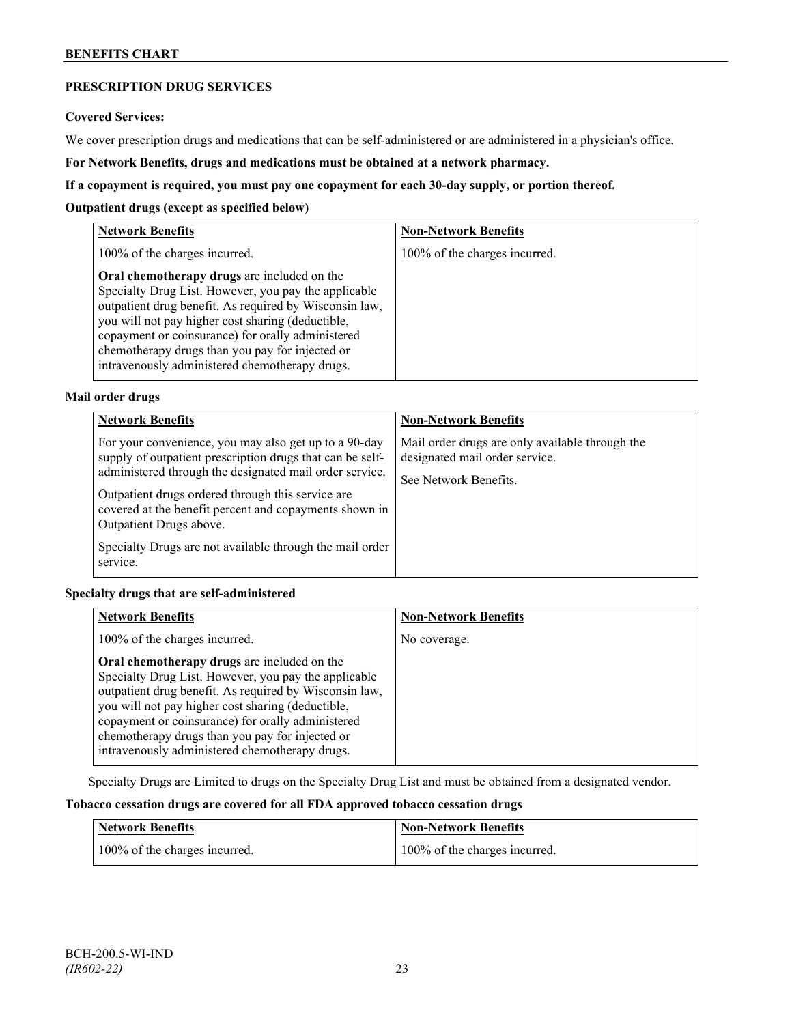# **PRESCRIPTION DRUG SERVICES**

#### **Covered Services:**

We cover prescription drugs and medications that can be self-administered or are administered in a physician's office.

**For Network Benefits, drugs and medications must be obtained at a network pharmacy.**

### **If a copayment is required, you must pay one copayment for each 30-day supply, or portion thereof.**

### **Outpatient drugs (except as specified below)**

| <b>Network Benefits</b>                                                                                                                                                                                                                                                                                                                                                      | <b>Non-Network Benefits</b>   |
|------------------------------------------------------------------------------------------------------------------------------------------------------------------------------------------------------------------------------------------------------------------------------------------------------------------------------------------------------------------------------|-------------------------------|
| 100% of the charges incurred.                                                                                                                                                                                                                                                                                                                                                | 100% of the charges incurred. |
| Oral chemotherapy drugs are included on the<br>Specialty Drug List. However, you pay the applicable<br>outpatient drug benefit. As required by Wisconsin law,<br>you will not pay higher cost sharing (deductible,<br>copayment or coinsurance) for orally administered<br>chemotherapy drugs than you pay for injected or<br>intravenously administered chemotherapy drugs. |                               |

# **Mail order drugs**

| <b>Network Benefits</b>                                                                                                                                                                                                                                                                                                                                                                         | <b>Non-Network Benefits</b>                                                                                |
|-------------------------------------------------------------------------------------------------------------------------------------------------------------------------------------------------------------------------------------------------------------------------------------------------------------------------------------------------------------------------------------------------|------------------------------------------------------------------------------------------------------------|
| For your convenience, you may also get up to a 90-day<br>supply of outpatient prescription drugs that can be self-<br>administered through the designated mail order service.<br>Outpatient drugs ordered through this service are<br>covered at the benefit percent and copayments shown in<br>Outpatient Drugs above.<br>Specialty Drugs are not available through the mail order<br>service. | Mail order drugs are only available through the<br>designated mail order service.<br>See Network Benefits. |

# **Specialty drugs that are self-administered**

| <b>Network Benefits</b>                                                                                                                                                                                                                                                                                                                                                      | <b>Non-Network Benefits</b> |
|------------------------------------------------------------------------------------------------------------------------------------------------------------------------------------------------------------------------------------------------------------------------------------------------------------------------------------------------------------------------------|-----------------------------|
| 100% of the charges incurred.                                                                                                                                                                                                                                                                                                                                                | No coverage.                |
| Oral chemotherapy drugs are included on the<br>Specialty Drug List. However, you pay the applicable<br>outpatient drug benefit. As required by Wisconsin law,<br>you will not pay higher cost sharing (deductible,<br>copayment or coinsurance) for orally administered<br>chemotherapy drugs than you pay for injected or<br>intravenously administered chemotherapy drugs. |                             |

Specialty Drugs are Limited to drugs on the Specialty Drug List and must be obtained from a designated vendor.

# **Tobacco cessation drugs are covered for all FDA approved tobacco cessation drugs**

| Network Benefits              | <b>Non-Network Benefits</b>   |
|-------------------------------|-------------------------------|
| 100% of the charges incurred. | 100% of the charges incurred. |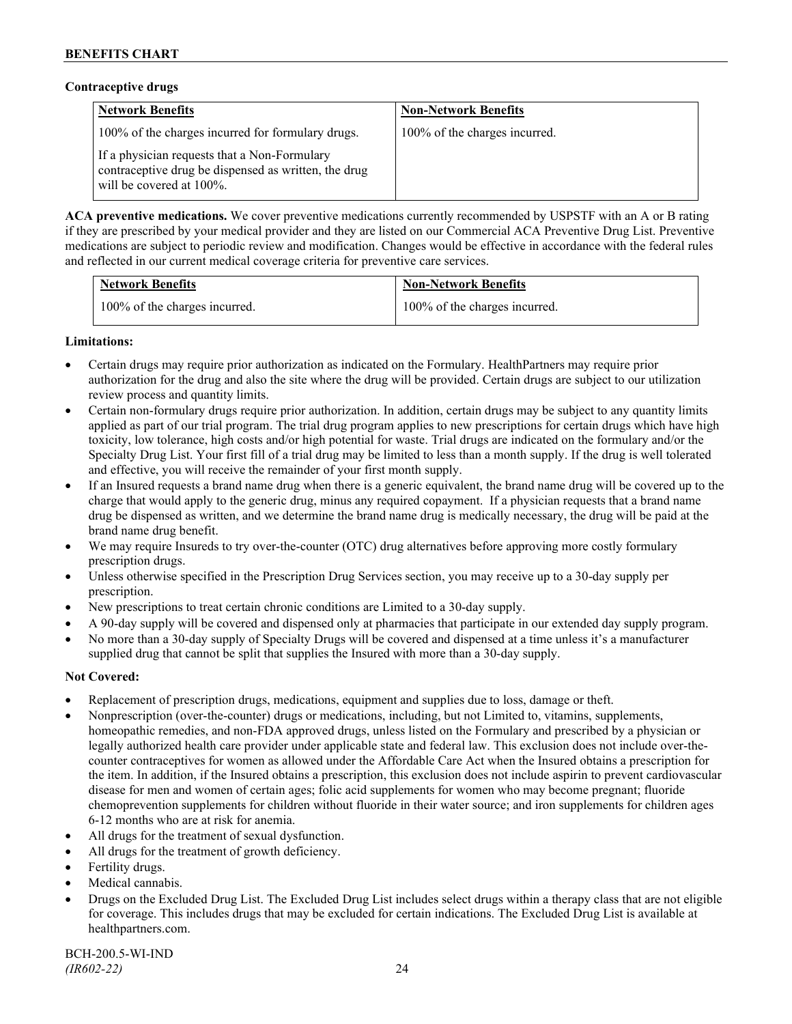### **Contraceptive drugs**

| <b>Network Benefits</b>                                                                                                              | <b>Non-Network Benefits</b>   |
|--------------------------------------------------------------------------------------------------------------------------------------|-------------------------------|
| 100% of the charges incurred for formulary drugs.                                                                                    | 100% of the charges incurred. |
| If a physician requests that a Non-Formulary<br>contraceptive drug be dispensed as written, the drug<br>will be covered at $100\%$ . |                               |

**ACA preventive medications.** We cover preventive medications currently recommended by USPSTF with an A or B rating if they are prescribed by your medical provider and they are listed on our Commercial ACA Preventive Drug List. Preventive medications are subject to periodic review and modification. Changes would be effective in accordance with the federal rules and reflected in our current medical coverage criteria for preventive care services.

| <b>Network Benefits</b>       | <b>Non-Network Benefits</b>   |
|-------------------------------|-------------------------------|
| 100% of the charges incurred. | 100% of the charges incurred. |

# **Limitations:**

- Certain drugs may require prior authorization as indicated on the Formulary. HealthPartners may require prior authorization for the drug and also the site where the drug will be provided. Certain drugs are subject to our utilization review process and quantity limits.
- Certain non-formulary drugs require prior authorization. In addition, certain drugs may be subject to any quantity limits applied as part of our trial program. The trial drug program applies to new prescriptions for certain drugs which have high toxicity, low tolerance, high costs and/or high potential for waste. Trial drugs are indicated on the formulary and/or the Specialty Drug List. Your first fill of a trial drug may be limited to less than a month supply. If the drug is well tolerated and effective, you will receive the remainder of your first month supply.
- If an Insured requests a brand name drug when there is a generic equivalent, the brand name drug will be covered up to the charge that would apply to the generic drug, minus any required copayment. If a physician requests that a brand name drug be dispensed as written, and we determine the brand name drug is medically necessary, the drug will be paid at the brand name drug benefit.
- We may require Insureds to try over-the-counter (OTC) drug alternatives before approving more costly formulary prescription drugs.
- Unless otherwise specified in the Prescription Drug Services section, you may receive up to a 30-day supply per prescription.
- New prescriptions to treat certain chronic conditions are Limited to a 30-day supply.
- A 90-day supply will be covered and dispensed only at pharmacies that participate in our extended day supply program.
- No more than a 30-day supply of Specialty Drugs will be covered and dispensed at a time unless it's a manufacturer supplied drug that cannot be split that supplies the Insured with more than a 30-day supply.

# **Not Covered:**

- Replacement of prescription drugs, medications, equipment and supplies due to loss, damage or theft.
- Nonprescription (over-the-counter) drugs or medications, including, but not Limited to, vitamins, supplements, homeopathic remedies, and non-FDA approved drugs, unless listed on the Formulary and prescribed by a physician or legally authorized health care provider under applicable state and federal law. This exclusion does not include over-thecounter contraceptives for women as allowed under the Affordable Care Act when the Insured obtains a prescription for the item. In addition, if the Insured obtains a prescription, this exclusion does not include aspirin to prevent cardiovascular disease for men and women of certain ages; folic acid supplements for women who may become pregnant; fluoride chemoprevention supplements for children without fluoride in their water source; and iron supplements for children ages 6-12 months who are at risk for anemia.
- All drugs for the treatment of sexual dysfunction.
- All drugs for the treatment of growth deficiency.
- Fertility drugs.
- Medical cannabis.
- Drugs on the Excluded Drug List. The Excluded Drug List includes select drugs within a therapy class that are not eligible for coverage. This includes drugs that may be excluded for certain indications. The Excluded Drug List is available at [healthpartners.com.](http://www.healthpartners.com/)

BCH-200.5-WI-IND *(IR602-22)* 24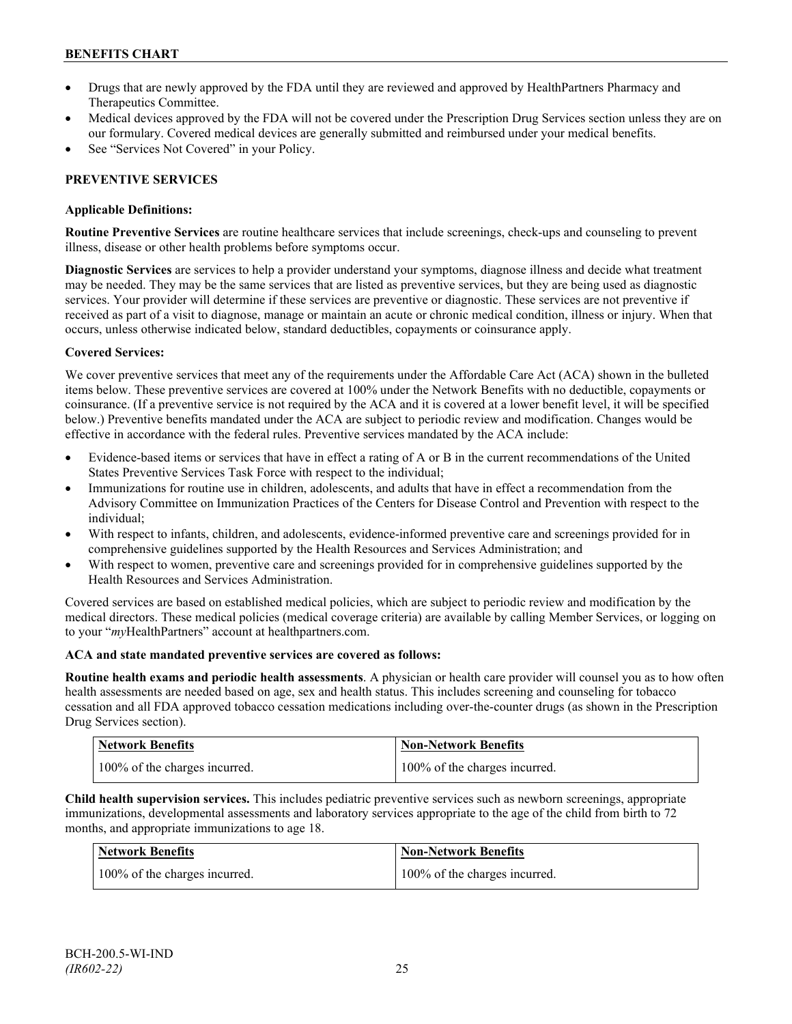- Drugs that are newly approved by the FDA until they are reviewed and approved by HealthPartners Pharmacy and Therapeutics Committee.
- Medical devices approved by the FDA will not be covered under the Prescription Drug Services section unless they are on our formulary. Covered medical devices are generally submitted and reimbursed under your medical benefits.
- See "Services Not Covered" in your Policy.

# **PREVENTIVE SERVICES**

# **Applicable Definitions:**

**Routine Preventive Services** are routine healthcare services that include screenings, check-ups and counseling to prevent illness, disease or other health problems before symptoms occur.

**Diagnostic Services** are services to help a provider understand your symptoms, diagnose illness and decide what treatment may be needed. They may be the same services that are listed as preventive services, but they are being used as diagnostic services. Your provider will determine if these services are preventive or diagnostic. These services are not preventive if received as part of a visit to diagnose, manage or maintain an acute or chronic medical condition, illness or injury. When that occurs, unless otherwise indicated below, standard deductibles, copayments or coinsurance apply.

# **Covered Services:**

We cover preventive services that meet any of the requirements under the Affordable Care Act (ACA) shown in the bulleted items below. These preventive services are covered at 100% under the Network Benefits with no deductible, copayments or coinsurance. (If a preventive service is not required by the ACA and it is covered at a lower benefit level, it will be specified below.) Preventive benefits mandated under the ACA are subject to periodic review and modification. Changes would be effective in accordance with the federal rules. Preventive services mandated by the ACA include:

- Evidence-based items or services that have in effect a rating of A or B in the current recommendations of the United States Preventive Services Task Force with respect to the individual;
- Immunizations for routine use in children, adolescents, and adults that have in effect a recommendation from the Advisory Committee on Immunization Practices of the Centers for Disease Control and Prevention with respect to the individual;
- With respect to infants, children, and adolescents, evidence-informed preventive care and screenings provided for in comprehensive guidelines supported by the Health Resources and Services Administration; and
- With respect to women, preventive care and screenings provided for in comprehensive guidelines supported by the Health Resources and Services Administration.

Covered services are based on established medical policies, which are subject to periodic review and modification by the medical directors. These medical policies (medical coverage criteria) are available by calling Member Services, or logging on to your "*my*HealthPartners" account at [healthpartners.com.](http://www.healthpartners.com/)

# **ACA and state mandated preventive services are covered as follows:**

**Routine health exams and periodic health assessments**. A physician or health care provider will counsel you as to how often health assessments are needed based on age, sex and health status. This includes screening and counseling for tobacco cessation and all FDA approved tobacco cessation medications including over-the-counter drugs (as shown in the Prescription Drug Services section).

| <b>Network Benefits</b>       | Non-Network Benefits          |
|-------------------------------|-------------------------------|
| 100% of the charges incurred. | 100% of the charges incurred. |

**Child health supervision services.** This includes pediatric preventive services such as newborn screenings, appropriate immunizations, developmental assessments and laboratory services appropriate to the age of the child from birth to 72 months, and appropriate immunizations to age 18.

| <b>Network Benefits</b>       | <b>Non-Network Benefits</b>   |
|-------------------------------|-------------------------------|
| 100% of the charges incurred. | 100% of the charges incurred. |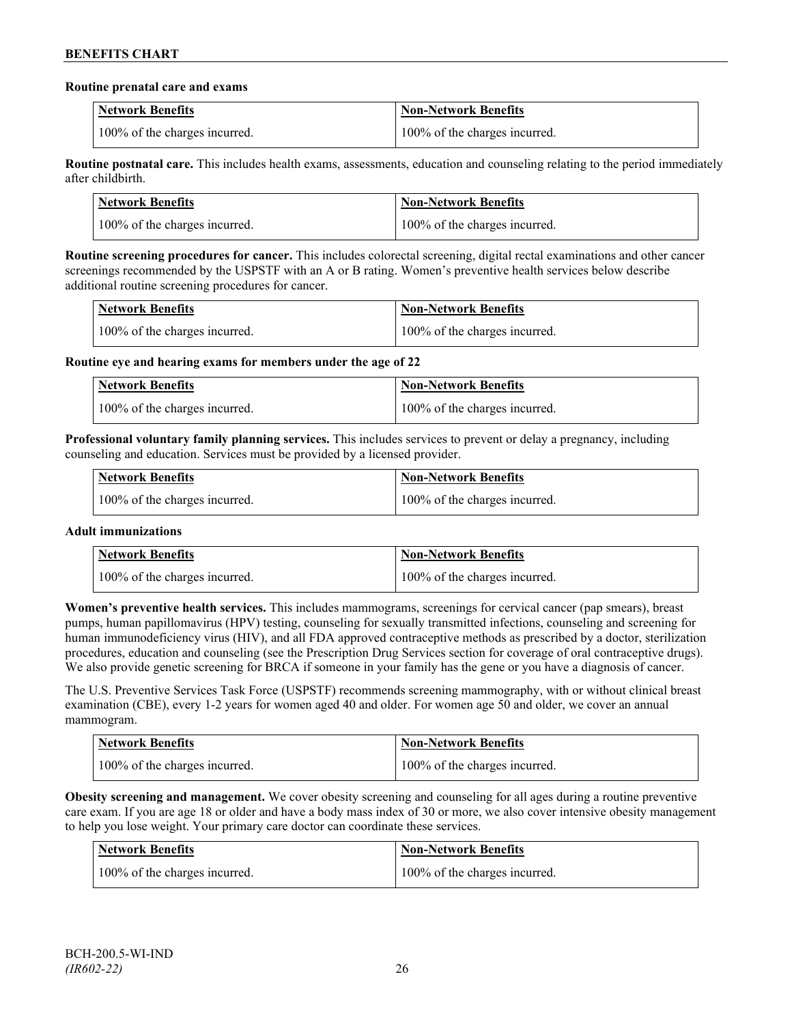#### **Routine prenatal care and exams**

| <b>Network Benefits</b>       | <b>Non-Network Benefits</b>   |
|-------------------------------|-------------------------------|
| 100% of the charges incurred. | 100% of the charges incurred. |

**Routine postnatal care.** This includes health exams, assessments, education and counseling relating to the period immediately after childbirth.

| <b>Network Benefits</b>       | <b>Non-Network Benefits</b>   |
|-------------------------------|-------------------------------|
| 100% of the charges incurred. | 100% of the charges incurred. |

**Routine screening procedures for cancer.** This includes colorectal screening, digital rectal examinations and other cancer screenings recommended by the USPSTF with an A or B rating. Women's preventive health services below describe additional routine screening procedures for cancer.

| Network Benefits              | <b>Non-Network Benefits</b>   |
|-------------------------------|-------------------------------|
| 100% of the charges incurred. | 100% of the charges incurred. |

**Routine eye and hearing exams for members under the age of 22**

| <b>Network Benefits</b>       | <b>Non-Network Benefits</b>   |
|-------------------------------|-------------------------------|
| 100% of the charges incurred. | 100% of the charges incurred. |

**Professional voluntary family planning services.** This includes services to prevent or delay a pregnancy, including counseling and education. Services must be provided by a licensed provider.

| Network Benefits              | <b>Non-Network Benefits</b>   |
|-------------------------------|-------------------------------|
| 100% of the charges incurred. | 100% of the charges incurred. |

# **Adult immunizations**

| <b>Network Benefits</b>       | <b>Non-Network Benefits</b>   |
|-------------------------------|-------------------------------|
| 100% of the charges incurred. | 100% of the charges incurred. |

**Women's preventive health services.** This includes mammograms, screenings for cervical cancer (pap smears), breast pumps, human papillomavirus (HPV) testing, counseling for sexually transmitted infections, counseling and screening for human immunodeficiency virus (HIV), and all FDA approved contraceptive methods as prescribed by a doctor, sterilization procedures, education and counseling (see the Prescription Drug Services section for coverage of oral contraceptive drugs). We also provide genetic screening for BRCA if someone in your family has the gene or you have a diagnosis of cancer.

The U.S. Preventive Services Task Force (USPSTF) recommends screening mammography, with or without clinical breast examination (CBE), every 1-2 years for women aged 40 and older. For women age 50 and older, we cover an annual mammogram.

| <b>Network Benefits</b>       | <b>Non-Network Benefits</b>   |
|-------------------------------|-------------------------------|
| 100% of the charges incurred. | 100% of the charges incurred. |

**Obesity screening and management.** We cover obesity screening and counseling for all ages during a routine preventive care exam. If you are age 18 or older and have a body mass index of 30 or more, we also cover intensive obesity management to help you lose weight. Your primary care doctor can coordinate these services.

| <b>Network Benefits</b>       | <b>Non-Network Benefits</b>   |
|-------------------------------|-------------------------------|
| 100% of the charges incurred. | 100% of the charges incurred. |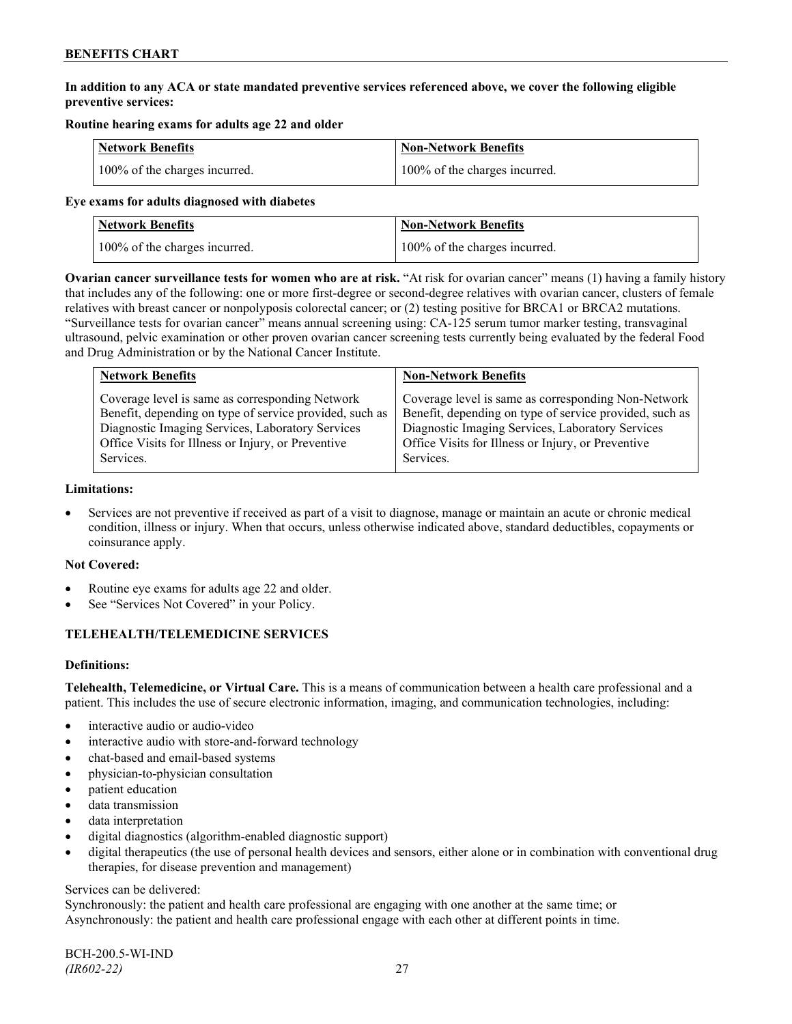# **In addition to any ACA or state mandated preventive services referenced above, we cover the following eligible preventive services:**

# **Routine hearing exams for adults age 22 and older**

| <b>Network Benefits</b>       | <b>Non-Network Benefits</b>   |
|-------------------------------|-------------------------------|
| 100% of the charges incurred. | 100% of the charges incurred. |

#### **Eye exams for adults diagnosed with diabetes**

| <b>Network Benefits</b>       | <b>Non-Network Benefits</b>   |
|-------------------------------|-------------------------------|
| 100% of the charges incurred. | 100% of the charges incurred. |

**Ovarian cancer surveillance tests for women who are at risk.** "At risk for ovarian cancer" means (1) having a family history that includes any of the following: one or more first-degree or second-degree relatives with ovarian cancer, clusters of female relatives with breast cancer or nonpolyposis colorectal cancer; or (2) testing positive for BRCA1 or BRCA2 mutations. "Surveillance tests for ovarian cancer" means annual screening using: CA-125 serum tumor marker testing, transvaginal ultrasound, pelvic examination or other proven ovarian cancer screening tests currently being evaluated by the federal Food and Drug Administration or by the National Cancer Institute.

| <b>Network Benefits</b>                                 | <b>Non-Network Benefits</b>                             |
|---------------------------------------------------------|---------------------------------------------------------|
| Coverage level is same as corresponding Network         | Coverage level is same as corresponding Non-Network     |
| Benefit, depending on type of service provided, such as | Benefit, depending on type of service provided, such as |
| Diagnostic Imaging Services, Laboratory Services        | Diagnostic Imaging Services, Laboratory Services        |
| Office Visits for Illness or Injury, or Preventive      | Office Visits for Illness or Injury, or Preventive      |
| Services.                                               | Services.                                               |

#### **Limitations:**

• Services are not preventive if received as part of a visit to diagnose, manage or maintain an acute or chronic medical condition, illness or injury. When that occurs, unless otherwise indicated above, standard deductibles, copayments or coinsurance apply.

# **Not Covered:**

- Routine eye exams for adults age 22 and older.
- See "Services Not Covered" in your Policy.

# **TELEHEALTH/TELEMEDICINE SERVICES**

# **Definitions:**

**Telehealth, Telemedicine, or Virtual Care.** This is a means of communication between a health care professional and a patient. This includes the use of secure electronic information, imaging, and communication technologies, including:

- interactive audio or audio-video
- interactive audio with store-and-forward technology
- chat-based and email-based systems
- physician-to-physician consultation
- patient education
- data transmission
- data interpretation
- digital diagnostics (algorithm-enabled diagnostic support)
- digital therapeutics (the use of personal health devices and sensors, either alone or in combination with conventional drug therapies, for disease prevention and management)

#### Services can be delivered:

Synchronously: the patient and health care professional are engaging with one another at the same time; or Asynchronously: the patient and health care professional engage with each other at different points in time.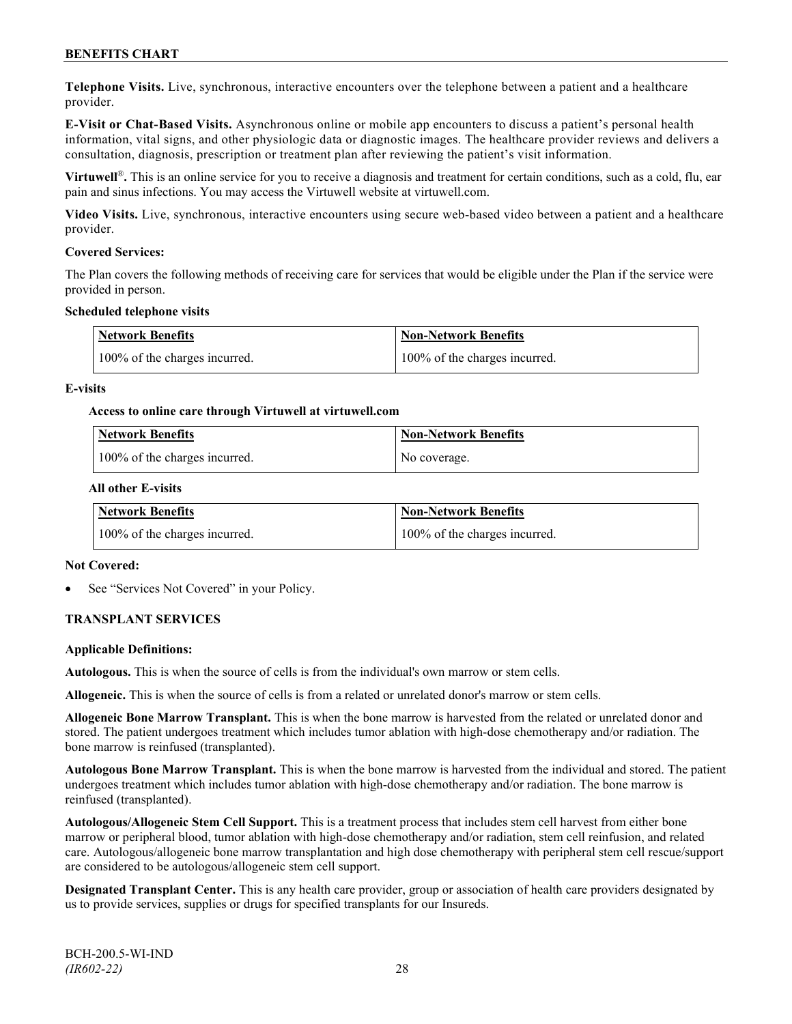**Telephone Visits.** Live, synchronous, interactive encounters over the telephone between a patient and a healthcare provider.

**E-Visit or Chat-Based Visits.** Asynchronous online or mobile app encounters to discuss a patient's personal health information, vital signs, and other physiologic data or diagnostic images. The healthcare provider reviews and delivers a consultation, diagnosis, prescription or treatment plan after reviewing the patient's visit information.

**Virtuwell<sup>®</sup>**. This is an online service for you to receive a diagnosis and treatment for certain conditions, such as a cold, flu, ear pain and sinus infections. You may access the Virtuwell website at [virtuwell.com.](https://www.virtuwell.com/)

**Video Visits.** Live, synchronous, interactive encounters using secure web-based video between a patient and a healthcare provider.

#### **Covered Services:**

The Plan covers the following methods of receiving care for services that would be eligible under the Plan if the service were provided in person.

#### **Scheduled telephone visits**

| <b>Network Benefits</b>       | <b>Non-Network Benefits</b>   |
|-------------------------------|-------------------------------|
| 100% of the charges incurred. | 100% of the charges incurred. |

#### **E-visits**

#### **Access to online care through Virtuwell at [virtuwell.com](http://www.virtuwell.com/)**

| Network Benefits              | <b>Non-Network Benefits</b> |
|-------------------------------|-----------------------------|
| 100% of the charges incurred. | No coverage.                |

#### **All other E-visits**

| Network Benefits              | <b>Non-Network Benefits</b>   |
|-------------------------------|-------------------------------|
| 100% of the charges incurred. | 100% of the charges incurred. |

#### **Not Covered:**

See "Services Not Covered" in your Policy.

# **TRANSPLANT SERVICES**

#### **Applicable Definitions:**

**Autologous.** This is when the source of cells is from the individual's own marrow or stem cells.

**Allogeneic.** This is when the source of cells is from a related or unrelated donor's marrow or stem cells.

**Allogeneic Bone Marrow Transplant.** This is when the bone marrow is harvested from the related or unrelated donor and stored. The patient undergoes treatment which includes tumor ablation with high-dose chemotherapy and/or radiation. The bone marrow is reinfused (transplanted).

**Autologous Bone Marrow Transplant.** This is when the bone marrow is harvested from the individual and stored. The patient undergoes treatment which includes tumor ablation with high-dose chemotherapy and/or radiation. The bone marrow is reinfused (transplanted).

**Autologous/Allogeneic Stem Cell Support.** This is a treatment process that includes stem cell harvest from either bone marrow or peripheral blood, tumor ablation with high-dose chemotherapy and/or radiation, stem cell reinfusion, and related care. Autologous/allogeneic bone marrow transplantation and high dose chemotherapy with peripheral stem cell rescue/support are considered to be autologous/allogeneic stem cell support.

**Designated Transplant Center.** This is any health care provider, group or association of health care providers designated by us to provide services, supplies or drugs for specified transplants for our Insureds.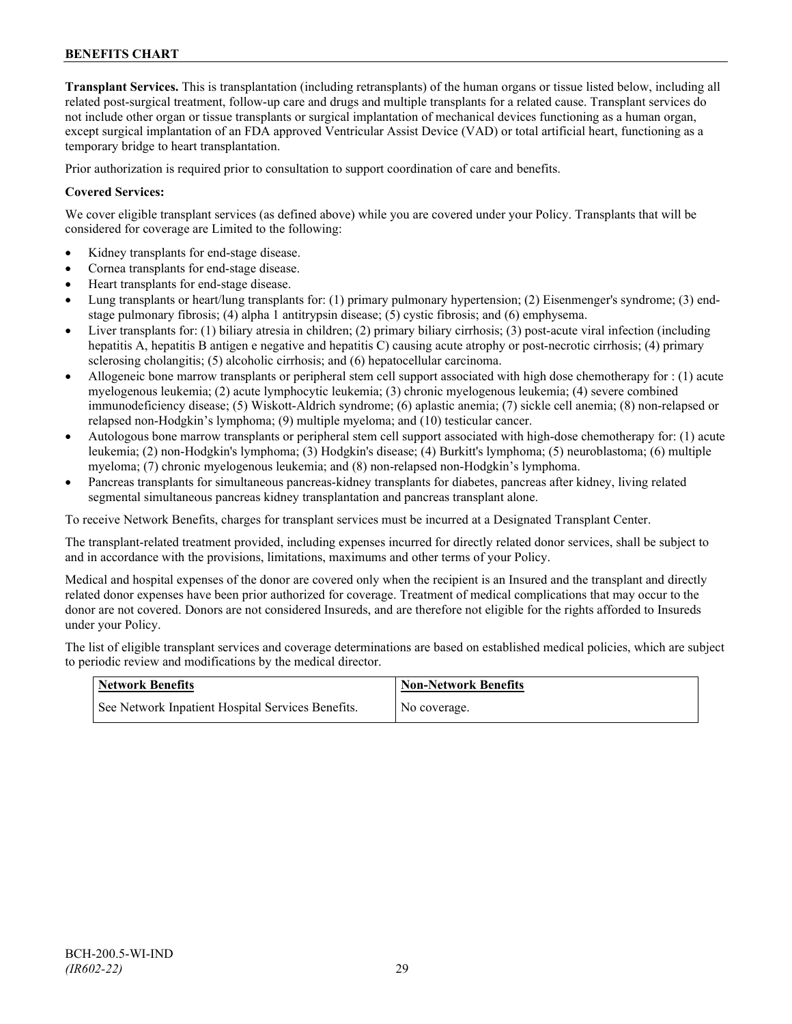**Transplant Services.** This is transplantation (including retransplants) of the human organs or tissue listed below, including all related post-surgical treatment, follow-up care and drugs and multiple transplants for a related cause. Transplant services do not include other organ or tissue transplants or surgical implantation of mechanical devices functioning as a human organ, except surgical implantation of an FDA approved Ventricular Assist Device (VAD) or total artificial heart, functioning as a temporary bridge to heart transplantation.

Prior authorization is required prior to consultation to support coordination of care and benefits.

### **Covered Services:**

We cover eligible transplant services (as defined above) while you are covered under your Policy. Transplants that will be considered for coverage are Limited to the following:

- Kidney transplants for end-stage disease.
- Cornea transplants for end-stage disease.
- Heart transplants for end-stage disease.
- Lung transplants or heart/lung transplants for: (1) primary pulmonary hypertension; (2) Eisenmenger's syndrome; (3) endstage pulmonary fibrosis; (4) alpha 1 antitrypsin disease; (5) cystic fibrosis; and (6) emphysema.
- Liver transplants for: (1) biliary atresia in children; (2) primary biliary cirrhosis; (3) post-acute viral infection (including hepatitis A, hepatitis B antigen e negative and hepatitis C) causing acute atrophy or post-necrotic cirrhosis; (4) primary sclerosing cholangitis; (5) alcoholic cirrhosis; and (6) hepatocellular carcinoma.
- Allogeneic bone marrow transplants or peripheral stem cell support associated with high dose chemotherapy for : (1) acute myelogenous leukemia; (2) acute lymphocytic leukemia; (3) chronic myelogenous leukemia; (4) severe combined immunodeficiency disease; (5) Wiskott-Aldrich syndrome; (6) aplastic anemia; (7) sickle cell anemia; (8) non-relapsed or relapsed non-Hodgkin's lymphoma; (9) multiple myeloma; and (10) testicular cancer.
- Autologous bone marrow transplants or peripheral stem cell support associated with high-dose chemotherapy for: (1) acute leukemia; (2) non-Hodgkin's lymphoma; (3) Hodgkin's disease; (4) Burkitt's lymphoma; (5) neuroblastoma; (6) multiple myeloma; (7) chronic myelogenous leukemia; and (8) non-relapsed non-Hodgkin's lymphoma.
- Pancreas transplants for simultaneous pancreas-kidney transplants for diabetes, pancreas after kidney, living related segmental simultaneous pancreas kidney transplantation and pancreas transplant alone.

To receive Network Benefits, charges for transplant services must be incurred at a Designated Transplant Center.

The transplant-related treatment provided, including expenses incurred for directly related donor services, shall be subject to and in accordance with the provisions, limitations, maximums and other terms of your Policy.

Medical and hospital expenses of the donor are covered only when the recipient is an Insured and the transplant and directly related donor expenses have been prior authorized for coverage. Treatment of medical complications that may occur to the donor are not covered. Donors are not considered Insureds, and are therefore not eligible for the rights afforded to Insureds under your Policy.

The list of eligible transplant services and coverage determinations are based on established medical policies, which are subject to periodic review and modifications by the medical director.

| <b>Network Benefits</b>                           | <b>Non-Network Benefits</b> |
|---------------------------------------------------|-----------------------------|
| See Network Inpatient Hospital Services Benefits. | No coverage.                |